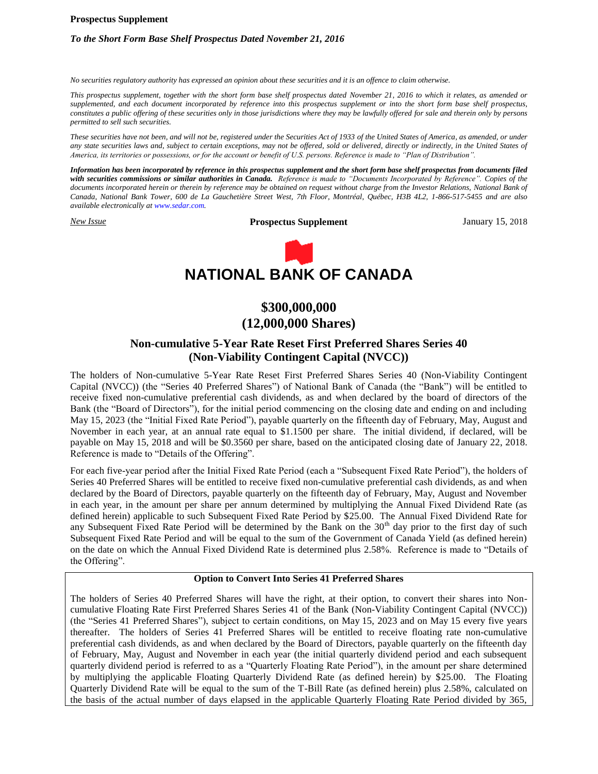#### **Prospectus Supplement**

# *To the Short Form Base Shelf Prospectus Dated November 21, 2016*

*No securities regulatory authority has expressed an opinion about these securities and it is an offence to claim otherwise.*

*This prospectus supplement, together with the short form base shelf prospectus dated November 21, 2016 to which it relates, as amended or supplemented, and each document incorporated by reference into this prospectus supplement or into the short form base shelf prospectus, constitutes a public offering of these securities only in those jurisdictions where they may be lawfully offered for sale and therein only by persons permitted to sell such securities.*

*These securities have not been, and will not be, registered under the Securities Act of 1933 of the United States of America, as amended, or under any state securities laws and, subject to certain exceptions, may not be offered, sold or delivered, directly or indirectly, in the United States of America, its territories or possessions, or for the account or benefit of U.S. persons. Reference is made to "Plan of Distribution".* 

*Information has been incorporated by reference in this prospectus supplement and the short form base shelf prospectus from documents filed with securities commissions or similar authorities in Canada. Reference is made to "Documents Incorporated by Reference". Copies of the documents incorporated herein or therein by reference may be obtained on request without charge from the Investor Relations, National Bank of Canada, National Bank Tower, 600 de La Gauchetière Street West, 7th Floor, Montréal, Québec, H3B 4L2, 1-866-517-5455 and are also available electronically at www.sedar.com.*

*New Issue* **Prospectus Supplement** January 15, 2018



# **\$300,000,000 (12,000,000 Shares)**

# **Non-cumulative 5-Year Rate Reset First Preferred Shares Series 40 (Non-Viability Contingent Capital (NVCC))**

The holders of Non-cumulative 5-Year Rate Reset First Preferred Shares Series 40 (Non-Viability Contingent Capital (NVCC)) (the "Series 40 Preferred Shares") of National Bank of Canada (the "Bank") will be entitled to receive fixed non-cumulative preferential cash dividends, as and when declared by the board of directors of the Bank (the "Board of Directors"), for the initial period commencing on the closing date and ending on and including May 15, 2023 (the "Initial Fixed Rate Period"), payable quarterly on the fifteenth day of February, May, August and November in each year, at an annual rate equal to \$1.1500 per share. The initial dividend, if declared, will be payable on May 15, 2018 and will be \$0.3560 per share, based on the anticipated closing date of January 22, 2018. Reference is made to "Details of the Offering".

For each five-year period after the Initial Fixed Rate Period (each a "Subsequent Fixed Rate Period"), the holders of Series 40 Preferred Shares will be entitled to receive fixed non-cumulative preferential cash dividends, as and when declared by the Board of Directors, payable quarterly on the fifteenth day of February, May, August and November in each year, in the amount per share per annum determined by multiplying the Annual Fixed Dividend Rate (as defined herein) applicable to such Subsequent Fixed Rate Period by \$25.00. The Annual Fixed Dividend Rate for any Subsequent Fixed Rate Period will be determined by the Bank on the 30<sup>th</sup> day prior to the first day of such Subsequent Fixed Rate Period and will be equal to the sum of the Government of Canada Yield (as defined herein) on the date on which the Annual Fixed Dividend Rate is determined plus 2.58%. Reference is made to "Details of the Offering".

### **Option to Convert Into Series 41 Preferred Shares**

The holders of Series 40 Preferred Shares will have the right, at their option, to convert their shares into Noncumulative Floating Rate First Preferred Shares Series 41 of the Bank (Non-Viability Contingent Capital (NVCC)) (the "Series 41 Preferred Shares"), subject to certain conditions, on May 15, 2023 and on May 15 every five years thereafter. The holders of Series 41 Preferred Shares will be entitled to receive floating rate non-cumulative preferential cash dividends, as and when declared by the Board of Directors, payable quarterly on the fifteenth day of February, May, August and November in each year (the initial quarterly dividend period and each subsequent quarterly dividend period is referred to as a "Quarterly Floating Rate Period"), in the amount per share determined by multiplying the applicable Floating Quarterly Dividend Rate (as defined herein) by \$25.00. The Floating Quarterly Dividend Rate will be equal to the sum of the T-Bill Rate (as defined herein) plus 2.58%, calculated on the basis of the actual number of days elapsed in the applicable Quarterly Floating Rate Period divided by 365,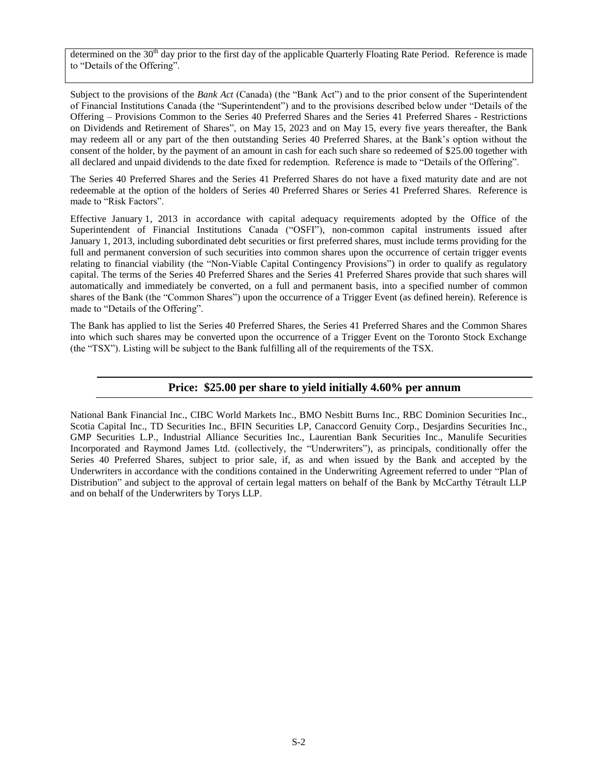determined on the  $30<sup>th</sup>$  day prior to the first day of the applicable Quarterly Floating Rate Period. Reference is made to "Details of the Offering".

Subject to the provisions of the *Bank Act* (Canada) (the "Bank Act") and to the prior consent of the Superintendent of Financial Institutions Canada (the "Superintendent") and to the provisions described below under "Details of the Offering – Provisions Common to the Series 40 Preferred Shares and the Series 41 Preferred Shares - Restrictions on Dividends and Retirement of Shares", on May 15, 2023 and on May 15, every five years thereafter, the Bank may redeem all or any part of the then outstanding Series 40 Preferred Shares, at the Bank's option without the consent of the holder, by the payment of an amount in cash for each such share so redeemed of \$25.00 together with all declared and unpaid dividends to the date fixed for redemption. Reference is made to "Details of the Offering".

The Series 40 Preferred Shares and the Series 41 Preferred Shares do not have a fixed maturity date and are not redeemable at the option of the holders of Series 40 Preferred Shares or Series 41 Preferred Shares. Reference is made to "Risk Factors".

Effective January 1, 2013 in accordance with capital adequacy requirements adopted by the Office of the Superintendent of Financial Institutions Canada ("OSFI"), non-common capital instruments issued after January 1, 2013, including subordinated debt securities or first preferred shares, must include terms providing for the full and permanent conversion of such securities into common shares upon the occurrence of certain trigger events relating to financial viability (the "Non-Viable Capital Contingency Provisions") in order to qualify as regulatory capital. The terms of the Series 40 Preferred Shares and the Series 41 Preferred Shares provide that such shares will automatically and immediately be converted, on a full and permanent basis, into a specified number of common shares of the Bank (the "Common Shares") upon the occurrence of a Trigger Event (as defined herein). Reference is made to "Details of the Offering".

The Bank has applied to list the Series 40 Preferred Shares, the Series 41 Preferred Shares and the Common Shares into which such shares may be converted upon the occurrence of a Trigger Event on the Toronto Stock Exchange (the "TSX"). Listing will be subject to the Bank fulfilling all of the requirements of the TSX.

# **Price: \$25.00 per share to yield initially 4.60% per annum**

National Bank Financial Inc., CIBC World Markets Inc., BMO Nesbitt Burns Inc., RBC Dominion Securities Inc., Scotia Capital Inc., TD Securities Inc., BFIN Securities LP, Canaccord Genuity Corp., Desjardins Securities Inc., GMP Securities L.P., Industrial Alliance Securities Inc., Laurentian Bank Securities Inc., Manulife Securities Incorporated and Raymond James Ltd. (collectively, the "Underwriters"), as principals, conditionally offer the Series 40 Preferred Shares, subject to prior sale, if, as and when issued by the Bank and accepted by the Underwriters in accordance with the conditions contained in the Underwriting Agreement referred to under "Plan of Distribution" and subject to the approval of certain legal matters on behalf of the Bank by McCarthy Tétrault LLP and on behalf of the Underwriters by Torys LLP.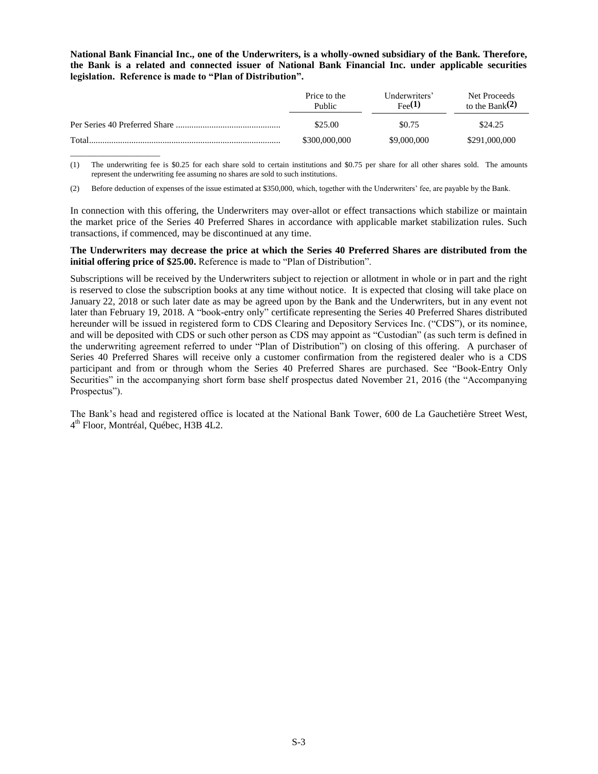**National Bank Financial Inc., one of the Underwriters, is a wholly-owned subsidiary of the Bank. Therefore, the Bank is a related and connected issuer of National Bank Financial Inc. under applicable securities legislation. Reference is made to "Plan of Distribution".**

|       | Price to the<br>Public | Underwriters'<br>$_{\text{Fee}}(1)$ | Net Proceeds<br>to the Bank $(2)$ |
|-------|------------------------|-------------------------------------|-----------------------------------|
|       | \$25.00                | \$0.75                              | \$24.25                           |
| Total | \$300,000,000          | \$9,000,000                         | \$291,000,000                     |

(1) The underwriting fee is \$0.25 for each share sold to certain institutions and \$0.75 per share for all other shares sold. The amounts represent the underwriting fee assuming no shares are sold to such institutions.

(2) Before deduction of expenses of the issue estimated at \$350,000, which, together with the Underwriters' fee, are payable by the Bank.

\_\_\_\_\_\_\_\_\_\_\_\_\_\_\_\_\_\_\_\_\_\_\_

In connection with this offering, the Underwriters may over-allot or effect transactions which stabilize or maintain the market price of the Series 40 Preferred Shares in accordance with applicable market stabilization rules. Such transactions, if commenced, may be discontinued at any time.

**The Underwriters may decrease the price at which the Series 40 Preferred Shares are distributed from the initial offering price of \$25.00.** Reference is made to "Plan of Distribution".

Subscriptions will be received by the Underwriters subject to rejection or allotment in whole or in part and the right is reserved to close the subscription books at any time without notice. It is expected that closing will take place on January 22, 2018 or such later date as may be agreed upon by the Bank and the Underwriters, but in any event not later than February 19, 2018. A "book-entry only" certificate representing the Series 40 Preferred Shares distributed hereunder will be issued in registered form to CDS Clearing and Depository Services Inc. ("CDS"), or its nominee, and will be deposited with CDS or such other person as CDS may appoint as "Custodian" (as such term is defined in the underwriting agreement referred to under "Plan of Distribution") on closing of this offering. A purchaser of Series 40 Preferred Shares will receive only a customer confirmation from the registered dealer who is a CDS participant and from or through whom the Series 40 Preferred Shares are purchased. See "Book-Entry Only Securities" in the accompanying short form base shelf prospectus dated November 21, 2016 (the "Accompanying Prospectus").

The Bank's head and registered office is located at the National Bank Tower, 600 de La Gauchetière Street West, 4 th Floor, Montréal, Québec, H3B 4L2.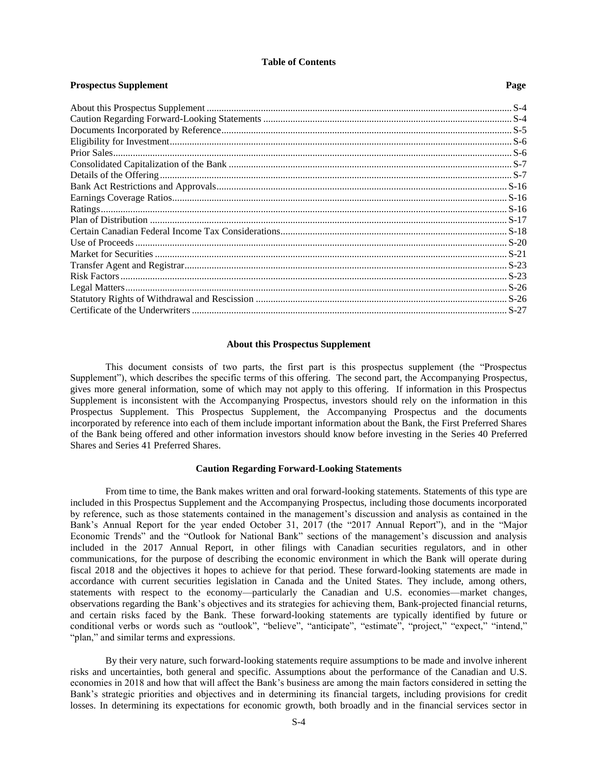#### **Table of Contents**

**Prospectus Supplement** Page

| 1109рессия биррісшенс |  |
|-----------------------|--|
|                       |  |
|                       |  |
|                       |  |
|                       |  |
|                       |  |
|                       |  |
|                       |  |
|                       |  |
|                       |  |
|                       |  |
|                       |  |
|                       |  |
|                       |  |
|                       |  |
|                       |  |
|                       |  |
|                       |  |
|                       |  |
|                       |  |
|                       |  |

### **About this Prospectus Supplement**

<span id="page-3-0"></span>This document consists of two parts, the first part is this prospectus supplement (the "Prospectus Supplement"), which describes the specific terms of this offering. The second part, the Accompanying Prospectus, gives more general information, some of which may not apply to this offering. If information in this Prospectus Supplement is inconsistent with the Accompanying Prospectus, investors should rely on the information in this Prospectus Supplement. This Prospectus Supplement, the Accompanying Prospectus and the documents incorporated by reference into each of them include important information about the Bank, the First Preferred Shares of the Bank being offered and other information investors should know before investing in the Series 40 Preferred Shares and Series 41 Preferred Shares.

#### **Caution Regarding Forward-Looking Statements**

<span id="page-3-1"></span>From time to time, the Bank makes written and oral forward-looking statements. Statements of this type are included in this Prospectus Supplement and the Accompanying Prospectus, including those documents incorporated by reference, such as those statements contained in the management's discussion and analysis as contained in the Bank's Annual Report for the year ended October 31, 2017 (the "2017 Annual Report"), and in the "Major Economic Trends" and the "Outlook for National Bank" sections of the management's discussion and analysis included in the 2017 Annual Report, in other filings with Canadian securities regulators, and in other communications, for the purpose of describing the economic environment in which the Bank will operate during fiscal 2018 and the objectives it hopes to achieve for that period. These forward-looking statements are made in accordance with current securities legislation in Canada and the United States. They include, among others, statements with respect to the economy—particularly the Canadian and U.S. economies—market changes, observations regarding the Bank's objectives and its strategies for achieving them, Bank-projected financial returns, and certain risks faced by the Bank. These forward-looking statements are typically identified by future or conditional verbs or words such as "outlook", "believe", "anticipate", "estimate", "project," "expect," "intend," "plan," and similar terms and expressions.

By their very nature, such forward-looking statements require assumptions to be made and involve inherent risks and uncertainties, both general and specific. Assumptions about the performance of the Canadian and U.S. economies in 2018 and how that will affect the Bank's business are among the main factors considered in setting the Bank's strategic priorities and objectives and in determining its financial targets, including provisions for credit losses. In determining its expectations for economic growth, both broadly and in the financial services sector in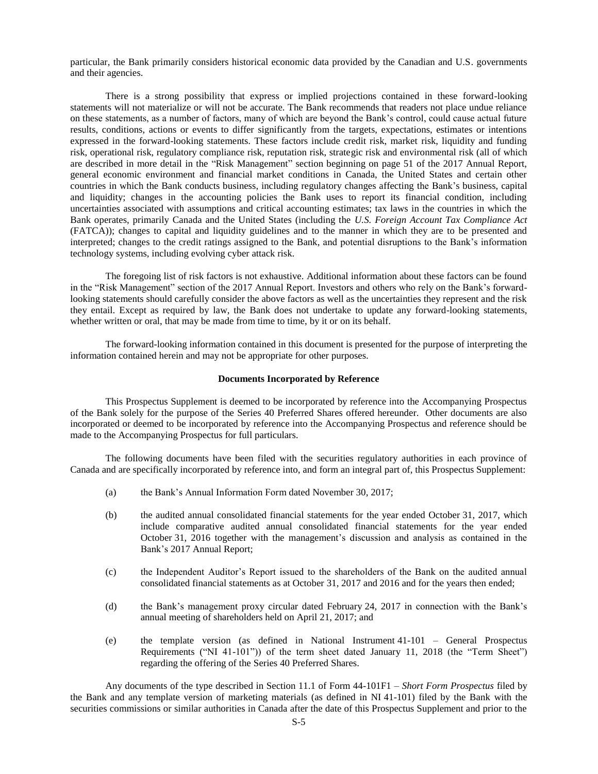particular, the Bank primarily considers historical economic data provided by the Canadian and U.S. governments and their agencies.

There is a strong possibility that express or implied projections contained in these forward-looking statements will not materialize or will not be accurate. The Bank recommends that readers not place undue reliance on these statements, as a number of factors, many of which are beyond the Bank's control, could cause actual future results, conditions, actions or events to differ significantly from the targets, expectations, estimates or intentions expressed in the forward-looking statements. These factors include credit risk, market risk, liquidity and funding risk, operational risk, regulatory compliance risk, reputation risk, strategic risk and environmental risk (all of which are described in more detail in the "Risk Management" section beginning on page 51 of the 2017 Annual Report, general economic environment and financial market conditions in Canada, the United States and certain other countries in which the Bank conducts business, including regulatory changes affecting the Bank's business, capital and liquidity; changes in the accounting policies the Bank uses to report its financial condition, including uncertainties associated with assumptions and critical accounting estimates; tax laws in the countries in which the Bank operates, primarily Canada and the United States (including the *U.S. Foreign Account Tax Compliance Act*  (FATCA)); changes to capital and liquidity guidelines and to the manner in which they are to be presented and interpreted; changes to the credit ratings assigned to the Bank, and potential disruptions to the Bank's information technology systems, including evolving cyber attack risk.

The foregoing list of risk factors is not exhaustive. Additional information about these factors can be found in the "Risk Management" section of the 2017 Annual Report. Investors and others who rely on the Bank's forwardlooking statements should carefully consider the above factors as well as the uncertainties they represent and the risk they entail. Except as required by law, the Bank does not undertake to update any forward-looking statements, whether written or oral, that may be made from time to time, by it or on its behalf.

The forward-looking information contained in this document is presented for the purpose of interpreting the information contained herein and may not be appropriate for other purposes.

#### **Documents Incorporated by Reference**

<span id="page-4-0"></span>This Prospectus Supplement is deemed to be incorporated by reference into the Accompanying Prospectus of the Bank solely for the purpose of the Series 40 Preferred Shares offered hereunder. Other documents are also incorporated or deemed to be incorporated by reference into the Accompanying Prospectus and reference should be made to the Accompanying Prospectus for full particulars.

The following documents have been filed with the securities regulatory authorities in each province of Canada and are specifically incorporated by reference into, and form an integral part of, this Prospectus Supplement:

- (a) the Bank's Annual Information Form dated November 30, 2017;
- (b) the audited annual consolidated financial statements for the year ended October 31, 2017, which include comparative audited annual consolidated financial statements for the year ended October 31, 2016 together with the management's discussion and analysis as contained in the Bank's 2017 Annual Report;
- (c) the Independent Auditor's Report issued to the shareholders of the Bank on the audited annual consolidated financial statements as at October 31, 2017 and 2016 and for the years then ended;
- (d) the Bank's management proxy circular dated February 24, 2017 in connection with the Bank's annual meeting of shareholders held on April 21, 2017; and
- (e) the template version (as defined in National Instrument 41-101 General Prospectus Requirements ("NI 41-101")) of the term sheet dated January 11, 2018 (the "Term Sheet") regarding the offering of the Series 40 Preferred Shares.

Any documents of the type described in Section 11.1 of Form 44-101F1 – *Short Form Prospectus* filed by the Bank and any template version of marketing materials (as defined in NI 41-101) filed by the Bank with the securities commissions or similar authorities in Canada after the date of this Prospectus Supplement and prior to the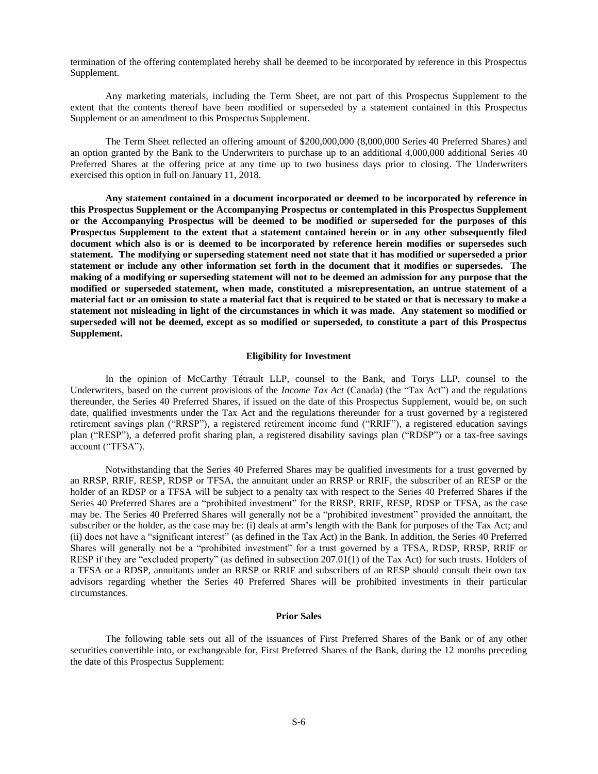termination of the offering contemplated hereby shall be deemed to be incorporated by reference in this Prospectus Supplement.

Any marketing materials, including the Term Sheet, are not part of this Prospectus Supplement to the extent that the contents thereof have been modified or superseded by a statement contained in this Prospectus Supplement or an amendment to this Prospectus Supplement.

The Term Sheet reflected an offering amount of \$200,000,000 (8,000,000 Series 40 Preferred Shares) and an option granted by the Bank to the Underwriters to purchase up to an additional 4,000,000 additional Series 40 Preferred Shares at the offering price at any time up to two business days prior to closing. The Underwriters exercised this option in full on January 11, 2018.

**Any statement contained in a document incorporated or deemed to be incorporated by reference in this Prospectus Supplement or the Accompanying Prospectus or contemplated in this Prospectus Supplement or the Accompanying Prospectus will be deemed to be modified or superseded for the purposes of this Prospectus Supplement to the extent that a statement contained herein or in any other subsequently filed document which also is or is deemed to be incorporated by reference herein modifies or supersedes such statement. The modifying or superseding statement need not state that it has modified or superseded a prior statement or include any other information set forth in the document that it modifies or supersedes. The making of a modifying or superseding statement will not to be deemed an admission for any purpose that the modified or superseded statement, when made, constituted a misrepresentation, an untrue statement of a material fact or an omission to state a material fact that is required to be stated or that is necessary to make a statement not misleading in light of the circumstances in which it was made. Any statement so modified or superseded will not be deemed, except as so modified or superseded, to constitute a part of this Prospectus Supplement.**

#### **Eligibility for Investment**

<span id="page-5-0"></span>In the opinion of McCarthy Tétrault LLP, counsel to the Bank, and Torys LLP, counsel to the Underwriters, based on the current provisions of the *Income Tax Act* (Canada) (the "Tax Act") and the regulations thereunder, the Series 40 Preferred Shares, if issued on the date of this Prospectus Supplement, would be, on such date, qualified investments under the Tax Act and the regulations thereunder for a trust governed by a registered retirement savings plan ("RRSP"), a registered retirement income fund ("RRIF"), a registered education savings plan ("RESP"), a deferred profit sharing plan, a registered disability savings plan ("RDSP") or a tax-free savings account ("TFSA").

Notwithstanding that the Series 40 Preferred Shares may be qualified investments for a trust governed by an RRSP, RRIF, RESP, RDSP or TFSA, the annuitant under an RRSP or RRIF, the subscriber of an RESP or the holder of an RDSP or a TFSA will be subject to a penalty tax with respect to the Series 40 Preferred Shares if the Series 40 Preferred Shares are a "prohibited investment" for the RRSP, RRIF, RESP, RDSP or TFSA, as the case may be. The Series 40 Preferred Shares will generally not be a "prohibited investment" provided the annuitant, the subscriber or the holder, as the case may be: (i) deals at arm's length with the Bank for purposes of the Tax Act; and (ii) does not have a "significant interest" (as defined in the Tax Act) in the Bank. In addition, the Series 40 Preferred Shares will generally not be a "prohibited investment" for a trust governed by a TFSA, RDSP, RRSP, RRIF or RESP if they are "excluded property" (as defined in subsection 207.01(1) of the Tax Act) for such trusts. Holders of a TFSA or a RDSP, annuitants under an RRSP or RRIF and subscribers of an RESP should consult their own tax advisors regarding whether the Series 40 Preferred Shares will be prohibited investments in their particular circumstances.

#### **Prior Sales**

<span id="page-5-1"></span>The following table sets out all of the issuances of First Preferred Shares of the Bank or of any other securities convertible into, or exchangeable for, First Preferred Shares of the Bank, during the 12 months preceding the date of this Prospectus Supplement: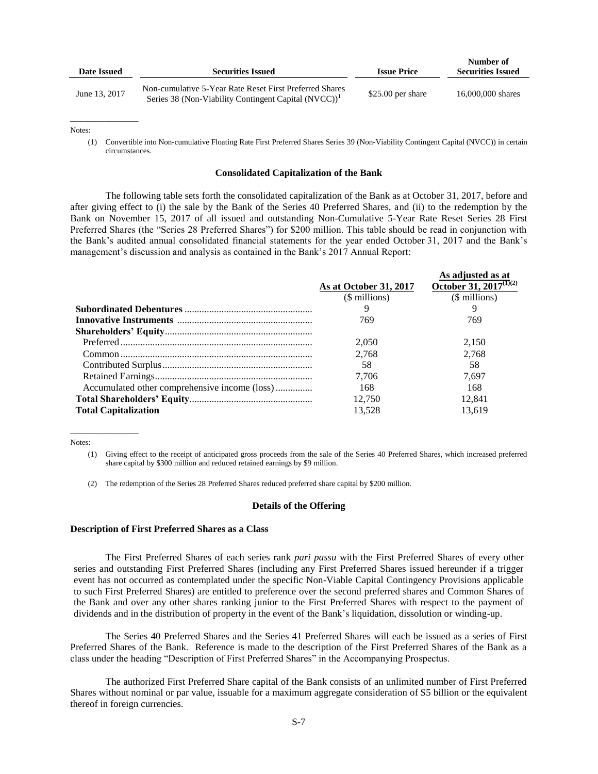| Date Issued   | <b>Securities Issued</b>                                                                                                    | <b>Issue Price</b> | Number of<br><b>Securities Issued</b> |
|---------------|-----------------------------------------------------------------------------------------------------------------------------|--------------------|---------------------------------------|
| June 13, 2017 | Non-cumulative 5-Year Rate Reset First Preferred Shares<br>Series 38 (Non-Viability Contingent Capital (NVCC)) <sup>1</sup> | $$25.00$ per share | 16,000,000 shares                     |

Notes:

 $\overline{\phantom{a}}$  , where  $\overline{\phantom{a}}$  , where  $\overline{\phantom{a}}$ 

(1) Convertible into Non-cumulative Floating Rate First Preferred Shares Series 39 (Non-Viability Contingent Capital (NVCC)) in certain circumstances.

#### **Consolidated Capitalization of the Bank**

<span id="page-6-0"></span>The following table sets forth the consolidated capitalization of the Bank as at October 31, 2017, before and after giving effect to (i) the sale by the Bank of the Series 40 Preferred Shares, and (ii) to the redemption by the Bank on November 15, 2017 of all issued and outstanding Non-Cumulative 5-Year Rate Reset Series 28 First Preferred Shares (the "Series 28 Preferred Shares") for \$200 million. This table should be read in conjunction with the Bank's audited annual consolidated financial statements for the year ended October 31, 2017 and the Bank's management's discussion and analysis as contained in the Bank's 2017 Annual Report:

**As adjusted as at** 

|                                               |                        | As adjusted as at                  |
|-----------------------------------------------|------------------------|------------------------------------|
|                                               | As at October 31, 2017 | October 31, 2017 <sup>(1)(2)</sup> |
|                                               | $$$ millions)          | (\$ millions)                      |
|                                               |                        |                                    |
|                                               | 769                    | 769                                |
|                                               |                        |                                    |
|                                               | 2.050                  | 2.150                              |
|                                               | 2.768                  | 2.768                              |
|                                               | 58                     | 58                                 |
|                                               | 7.706                  | 7.697                              |
| Accumulated other comprehensive income (loss) | 168                    | 168                                |
|                                               | 12.750                 | 12.841                             |
| <b>Total Capitalization</b>                   | 13.528                 | 13.619                             |
|                                               |                        |                                    |

Notes:

 $\_$ 

(1) Giving effect to the receipt of anticipated gross proceeds from the sale of the Series 40 Preferred Shares, which increased preferred share capital by \$300 million and reduced retained earnings by \$9 million.

(2) The redemption of the Series 28 Preferred Shares reduced preferred share capital by \$200 million.

### **Details of the Offering**

#### <span id="page-6-1"></span>**Description of First Preferred Shares as a Class**

The First Preferred Shares of each series rank *pari passu* with the First Preferred Shares of every other series and outstanding First Preferred Shares (including any First Preferred Shares issued hereunder if a trigger event has not occurred as contemplated under the specific Non-Viable Capital Contingency Provisions applicable to such First Preferred Shares) are entitled to preference over the second preferred shares and Common Shares of the Bank and over any other shares ranking junior to the First Preferred Shares with respect to the payment of dividends and in the distribution of property in the event of the Bank's liquidation, dissolution or winding-up.

The Series 40 Preferred Shares and the Series 41 Preferred Shares will each be issued as a series of First Preferred Shares of the Bank. Reference is made to the description of the First Preferred Shares of the Bank as a class under the heading "Description of First Preferred Shares" in the Accompanying Prospectus.

The authorized First Preferred Share capital of the Bank consists of an unlimited number of First Preferred Shares without nominal or par value, issuable for a maximum aggregate consideration of \$5 billion or the equivalent thereof in foreign currencies.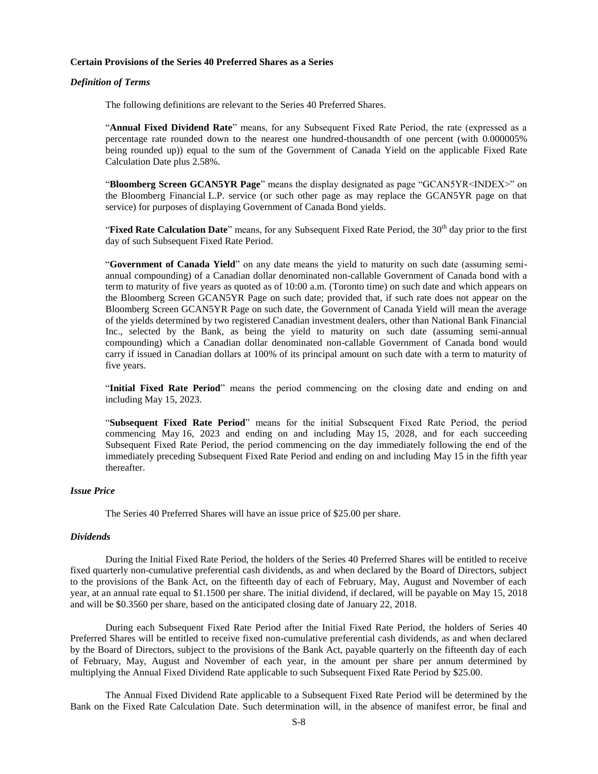#### **Certain Provisions of the Series 40 Preferred Shares as a Series**

#### *Definition of Terms*

The following definitions are relevant to the Series 40 Preferred Shares.

"**Annual Fixed Dividend Rate**" means, for any Subsequent Fixed Rate Period, the rate (expressed as a percentage rate rounded down to the nearest one hundred-thousandth of one percent (with 0.000005% being rounded up)) equal to the sum of the Government of Canada Yield on the applicable Fixed Rate Calculation Date plus 2.58%.

"**Bloomberg Screen GCAN5YR Page**" means the display designated as page "GCAN5YR<INDEX>" on the Bloomberg Financial L.P. service (or such other page as may replace the GCAN5YR page on that service) for purposes of displaying Government of Canada Bond yields.

"**Fixed Rate Calculation Date**" means, for any Subsequent Fixed Rate Period, the 30<sup>th</sup> day prior to the first day of such Subsequent Fixed Rate Period.

"**Government of Canada Yield**" on any date means the yield to maturity on such date (assuming semiannual compounding) of a Canadian dollar denominated non-callable Government of Canada bond with a term to maturity of five years as quoted as of 10:00 a.m. (Toronto time) on such date and which appears on the Bloomberg Screen GCAN5YR Page on such date; provided that, if such rate does not appear on the Bloomberg Screen GCAN5YR Page on such date, the Government of Canada Yield will mean the average of the yields determined by two registered Canadian investment dealers, other than National Bank Financial Inc., selected by the Bank, as being the yield to maturity on such date (assuming semi-annual compounding) which a Canadian dollar denominated non-callable Government of Canada bond would carry if issued in Canadian dollars at 100% of its principal amount on such date with a term to maturity of five years.

"**Initial Fixed Rate Period**" means the period commencing on the closing date and ending on and including May 15, 2023.

"**Subsequent Fixed Rate Period**" means for the initial Subsequent Fixed Rate Period, the period commencing May 16, 2023 and ending on and including May 15, 2028, and for each succeeding Subsequent Fixed Rate Period, the period commencing on the day immediately following the end of the immediately preceding Subsequent Fixed Rate Period and ending on and including May 15 in the fifth year thereafter.

### *Issue Price*

The Series 40 Preferred Shares will have an issue price of \$25.00 per share.

### *Dividends*

During the Initial Fixed Rate Period, the holders of the Series 40 Preferred Shares will be entitled to receive fixed quarterly non-cumulative preferential cash dividends, as and when declared by the Board of Directors, subject to the provisions of the Bank Act, on the fifteenth day of each of February, May, August and November of each year, at an annual rate equal to \$1.1500 per share. The initial dividend, if declared, will be payable on May 15, 2018 and will be \$0.3560 per share, based on the anticipated closing date of January 22, 2018.

During each Subsequent Fixed Rate Period after the Initial Fixed Rate Period, the holders of Series 40 Preferred Shares will be entitled to receive fixed non-cumulative preferential cash dividends, as and when declared by the Board of Directors, subject to the provisions of the Bank Act, payable quarterly on the fifteenth day of each of February, May, August and November of each year, in the amount per share per annum determined by multiplying the Annual Fixed Dividend Rate applicable to such Subsequent Fixed Rate Period by \$25.00.

The Annual Fixed Dividend Rate applicable to a Subsequent Fixed Rate Period will be determined by the Bank on the Fixed Rate Calculation Date. Such determination will, in the absence of manifest error, be final and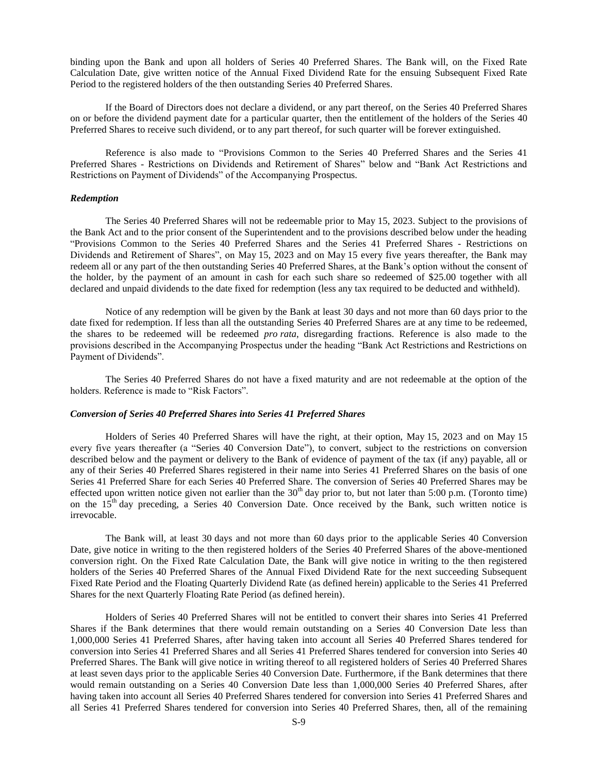binding upon the Bank and upon all holders of Series 40 Preferred Shares. The Bank will, on the Fixed Rate Calculation Date, give written notice of the Annual Fixed Dividend Rate for the ensuing Subsequent Fixed Rate Period to the registered holders of the then outstanding Series 40 Preferred Shares.

If the Board of Directors does not declare a dividend, or any part thereof, on the Series 40 Preferred Shares on or before the dividend payment date for a particular quarter, then the entitlement of the holders of the Series 40 Preferred Shares to receive such dividend, or to any part thereof, for such quarter will be forever extinguished.

Reference is also made to "Provisions Common to the Series 40 Preferred Shares and the Series 41 Preferred Shares - Restrictions on Dividends and Retirement of Shares" below and "Bank Act Restrictions and Restrictions on Payment of Dividends" of the Accompanying Prospectus.

#### *Redemption*

The Series 40 Preferred Shares will not be redeemable prior to May 15, 2023. Subject to the provisions of the Bank Act and to the prior consent of the Superintendent and to the provisions described below under the heading "Provisions Common to the Series 40 Preferred Shares and the Series 41 Preferred Shares - Restrictions on Dividends and Retirement of Shares", on May 15, 2023 and on May 15 every five years thereafter, the Bank may redeem all or any part of the then outstanding Series 40 Preferred Shares, at the Bank's option without the consent of the holder, by the payment of an amount in cash for each such share so redeemed of \$25.00 together with all declared and unpaid dividends to the date fixed for redemption (less any tax required to be deducted and withheld).

Notice of any redemption will be given by the Bank at least 30 days and not more than 60 days prior to the date fixed for redemption. If less than all the outstanding Series 40 Preferred Shares are at any time to be redeemed, the shares to be redeemed will be redeemed *pro rata*, disregarding fractions. Reference is also made to the provisions described in the Accompanying Prospectus under the heading "Bank Act Restrictions and Restrictions on Payment of Dividends".

The Series 40 Preferred Shares do not have a fixed maturity and are not redeemable at the option of the holders. Reference is made to "Risk Factors".

### *Conversion of Series 40 Preferred Shares into Series 41 Preferred Shares*

Holders of Series 40 Preferred Shares will have the right, at their option, May 15, 2023 and on May 15 every five years thereafter (a "Series 40 Conversion Date"), to convert, subject to the restrictions on conversion described below and the payment or delivery to the Bank of evidence of payment of the tax (if any) payable, all or any of their Series 40 Preferred Shares registered in their name into Series 41 Preferred Shares on the basis of one Series 41 Preferred Share for each Series 40 Preferred Share. The conversion of Series 40 Preferred Shares may be effected upon written notice given not earlier than the  $30<sup>th</sup>$  day prior to, but not later than 5:00 p.m. (Toronto time) on the  $15<sup>th</sup>$  day preceding, a Series 40 Conversion Date. Once received by the Bank, such written notice is irrevocable.

The Bank will, at least 30 days and not more than 60 days prior to the applicable Series 40 Conversion Date, give notice in writing to the then registered holders of the Series 40 Preferred Shares of the above-mentioned conversion right. On the Fixed Rate Calculation Date, the Bank will give notice in writing to the then registered holders of the Series 40 Preferred Shares of the Annual Fixed Dividend Rate for the next succeeding Subsequent Fixed Rate Period and the Floating Quarterly Dividend Rate (as defined herein) applicable to the Series 41 Preferred Shares for the next Quarterly Floating Rate Period (as defined herein).

Holders of Series 40 Preferred Shares will not be entitled to convert their shares into Series 41 Preferred Shares if the Bank determines that there would remain outstanding on a Series 40 Conversion Date less than 1,000,000 Series 41 Preferred Shares, after having taken into account all Series 40 Preferred Shares tendered for conversion into Series 41 Preferred Shares and all Series 41 Preferred Shares tendered for conversion into Series 40 Preferred Shares. The Bank will give notice in writing thereof to all registered holders of Series 40 Preferred Shares at least seven days prior to the applicable Series 40 Conversion Date. Furthermore, if the Bank determines that there would remain outstanding on a Series 40 Conversion Date less than 1,000,000 Series 40 Preferred Shares, after having taken into account all Series 40 Preferred Shares tendered for conversion into Series 41 Preferred Shares and all Series 41 Preferred Shares tendered for conversion into Series 40 Preferred Shares, then, all of the remaining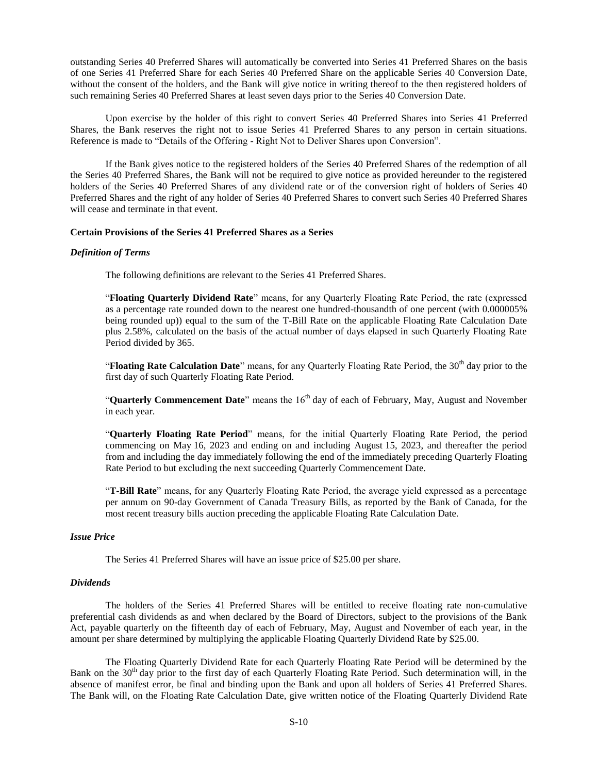outstanding Series 40 Preferred Shares will automatically be converted into Series 41 Preferred Shares on the basis of one Series 41 Preferred Share for each Series 40 Preferred Share on the applicable Series 40 Conversion Date, without the consent of the holders, and the Bank will give notice in writing thereof to the then registered holders of such remaining Series 40 Preferred Shares at least seven days prior to the Series 40 Conversion Date.

Upon exercise by the holder of this right to convert Series 40 Preferred Shares into Series 41 Preferred Shares, the Bank reserves the right not to issue Series 41 Preferred Shares to any person in certain situations. Reference is made to "Details of the Offering - Right Not to Deliver Shares upon Conversion".

If the Bank gives notice to the registered holders of the Series 40 Preferred Shares of the redemption of all the Series 40 Preferred Shares, the Bank will not be required to give notice as provided hereunder to the registered holders of the Series 40 Preferred Shares of any dividend rate or of the conversion right of holders of Series 40 Preferred Shares and the right of any holder of Series 40 Preferred Shares to convert such Series 40 Preferred Shares will cease and terminate in that event.

### **Certain Provisions of the Series 41 Preferred Shares as a Series**

#### *Definition of Terms*

The following definitions are relevant to the Series 41 Preferred Shares.

"**Floating Quarterly Dividend Rate**" means, for any Quarterly Floating Rate Period, the rate (expressed as a percentage rate rounded down to the nearest one hundred-thousandth of one percent (with 0.000005% being rounded up)) equal to the sum of the T-Bill Rate on the applicable Floating Rate Calculation Date plus 2.58%, calculated on the basis of the actual number of days elapsed in such Quarterly Floating Rate Period divided by 365.

"**Floating Rate Calculation Date**" means, for any Quarterly Floating Rate Period, the 30<sup>th</sup> day prior to the first day of such Quarterly Floating Rate Period.

"**Quarterly Commencement Date**" means the 16<sup>th</sup> day of each of February, May, August and November in each year.

"**Quarterly Floating Rate Period**" means, for the initial Quarterly Floating Rate Period, the period commencing on May 16, 2023 and ending on and including August 15, 2023, and thereafter the period from and including the day immediately following the end of the immediately preceding Quarterly Floating Rate Period to but excluding the next succeeding Quarterly Commencement Date.

"**T-Bill Rate**" means, for any Quarterly Floating Rate Period, the average yield expressed as a percentage per annum on 90-day Government of Canada Treasury Bills, as reported by the Bank of Canada, for the most recent treasury bills auction preceding the applicable Floating Rate Calculation Date.

### *Issue Price*

The Series 41 Preferred Shares will have an issue price of \$25.00 per share.

### *Dividends*

The holders of the Series 41 Preferred Shares will be entitled to receive floating rate non-cumulative preferential cash dividends as and when declared by the Board of Directors, subject to the provisions of the Bank Act, payable quarterly on the fifteenth day of each of February, May, August and November of each year, in the amount per share determined by multiplying the applicable Floating Quarterly Dividend Rate by \$25.00.

The Floating Quarterly Dividend Rate for each Quarterly Floating Rate Period will be determined by the Bank on the 30<sup>th</sup> day prior to the first day of each Quarterly Floating Rate Period. Such determination will, in the absence of manifest error, be final and binding upon the Bank and upon all holders of Series 41 Preferred Shares. The Bank will, on the Floating Rate Calculation Date, give written notice of the Floating Quarterly Dividend Rate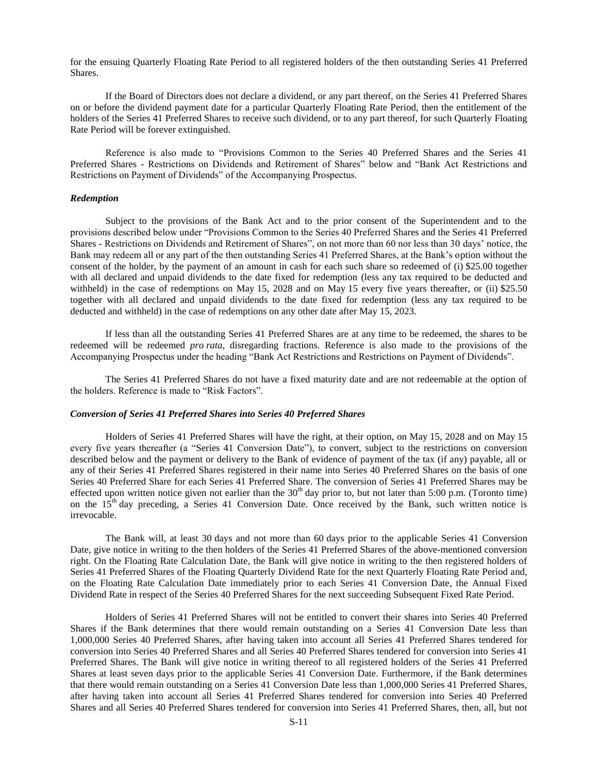for the ensuing Quarterly Floating Rate Period to all registered holders of the then outstanding Series 41 Preferred Shares.

If the Board of Directors does not declare a dividend, or any part thereof, on the Series 41 Preferred Shares on or before the dividend payment date for a particular Quarterly Floating Rate Period, then the entitlement of the holders of the Series 41 Preferred Shares to receive such dividend, or to any part thereof, for such Quarterly Floating Rate Period will be forever extinguished.

Reference is also made to "Provisions Common to the Series 40 Preferred Shares and the Series 41 Preferred Shares - Restrictions on Dividends and Retirement of Shares" below and "Bank Act Restrictions and Restrictions on Payment of Dividends" of the Accompanying Prospectus.

### *Redemption*

Subject to the provisions of the Bank Act and to the prior consent of the Superintendent and to the provisions described below under "Provisions Common to the Series 40 Preferred Shares and the Series 41 Preferred Shares - Restrictions on Dividends and Retirement of Shares", on not more than 60 nor less than 30 days' notice, the Bank may redeem all or any part of the then outstanding Series 41 Preferred Shares, at the Bank's option without the consent of the holder, by the payment of an amount in cash for each such share so redeemed of (i) \$25.00 together with all declared and unpaid dividends to the date fixed for redemption (less any tax required to be deducted and withheld) in the case of redemptions on May 15, 2028 and on May 15 every five years thereafter, or (ii) \$25.50 together with all declared and unpaid dividends to the date fixed for redemption (less any tax required to be deducted and withheld) in the case of redemptions on any other date after May 15, 2023.

If less than all the outstanding Series 41 Preferred Shares are at any time to be redeemed, the shares to be redeemed will be redeemed *pro rata*, disregarding fractions. Reference is also made to the provisions of the Accompanying Prospectus under the heading "Bank Act Restrictions and Restrictions on Payment of Dividends".

The Series 41 Preferred Shares do not have a fixed maturity date and are not redeemable at the option of the holders. Reference is made to "Risk Factors".

### *Conversion of Series 41 Preferred Shares into Series 40 Preferred Shares*

Holders of Series 41 Preferred Shares will have the right, at their option, on May 15, 2028 and on May 15 every five years thereafter (a "Series 41 Conversion Date"), to convert, subject to the restrictions on conversion described below and the payment or delivery to the Bank of evidence of payment of the tax (if any) payable, all or any of their Series 41 Preferred Shares registered in their name into Series 40 Preferred Shares on the basis of one Series 40 Preferred Share for each Series 41 Preferred Share. The conversion of Series 41 Preferred Shares may be effected upon written notice given not earlier than the  $30<sup>th</sup>$  day prior to, but not later than 5:00 p.m. (Toronto time) on the  $15<sup>th</sup>$  day preceding, a Series 41 Conversion Date. Once received by the Bank, such written notice is irrevocable.

The Bank will, at least 30 days and not more than 60 days prior to the applicable Series 41 Conversion Date, give notice in writing to the then holders of the Series 41 Preferred Shares of the above-mentioned conversion right. On the Floating Rate Calculation Date, the Bank will give notice in writing to the then registered holders of Series 41 Preferred Shares of the Floating Quarterly Dividend Rate for the next Quarterly Floating Rate Period and, on the Floating Rate Calculation Date immediately prior to each Series 41 Conversion Date, the Annual Fixed Dividend Rate in respect of the Series 40 Preferred Shares for the next succeeding Subsequent Fixed Rate Period.

Holders of Series 41 Preferred Shares will not be entitled to convert their shares into Series 40 Preferred Shares if the Bank determines that there would remain outstanding on a Series 41 Conversion Date less than 1,000,000 Series 40 Preferred Shares, after having taken into account all Series 41 Preferred Shares tendered for conversion into Series 40 Preferred Shares and all Series 40 Preferred Shares tendered for conversion into Series 41 Preferred Shares. The Bank will give notice in writing thereof to all registered holders of the Series 41 Preferred Shares at least seven days prior to the applicable Series 41 Conversion Date. Furthermore, if the Bank determines that there would remain outstanding on a Series 41 Conversion Date less than 1,000,000 Series 41 Preferred Shares, after having taken into account all Series 41 Preferred Shares tendered for conversion into Series 40 Preferred Shares and all Series 40 Preferred Shares tendered for conversion into Series 41 Preferred Shares, then, all, but not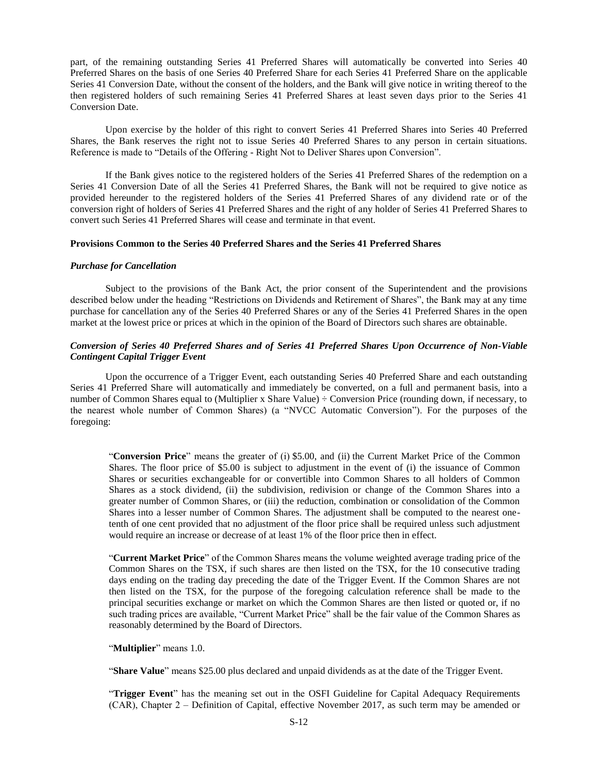part, of the remaining outstanding Series 41 Preferred Shares will automatically be converted into Series 40 Preferred Shares on the basis of one Series 40 Preferred Share for each Series 41 Preferred Share on the applicable Series 41 Conversion Date, without the consent of the holders, and the Bank will give notice in writing thereof to the then registered holders of such remaining Series 41 Preferred Shares at least seven days prior to the Series 41 Conversion Date.

Upon exercise by the holder of this right to convert Series 41 Preferred Shares into Series 40 Preferred Shares, the Bank reserves the right not to issue Series 40 Preferred Shares to any person in certain situations. Reference is made to "Details of the Offering - Right Not to Deliver Shares upon Conversion".

If the Bank gives notice to the registered holders of the Series 41 Preferred Shares of the redemption on a Series 41 Conversion Date of all the Series 41 Preferred Shares, the Bank will not be required to give notice as provided hereunder to the registered holders of the Series 41 Preferred Shares of any dividend rate or of the conversion right of holders of Series 41 Preferred Shares and the right of any holder of Series 41 Preferred Shares to convert such Series 41 Preferred Shares will cease and terminate in that event.

### **Provisions Common to the Series 40 Preferred Shares and the Series 41 Preferred Shares**

#### *Purchase for Cancellation*

Subject to the provisions of the Bank Act, the prior consent of the Superintendent and the provisions described below under the heading "Restrictions on Dividends and Retirement of Shares", the Bank may at any time purchase for cancellation any of the Series 40 Preferred Shares or any of the Series 41 Preferred Shares in the open market at the lowest price or prices at which in the opinion of the Board of Directors such shares are obtainable.

### *Conversion of Series 40 Preferred Shares and of Series 41 Preferred Shares Upon Occurrence of Non-Viable Contingent Capital Trigger Event*

Upon the occurrence of a Trigger Event, each outstanding Series 40 Preferred Share and each outstanding Series 41 Preferred Share will automatically and immediately be converted, on a full and permanent basis, into a number of Common Shares equal to (Multiplier x Share Value) ÷ Conversion Price (rounding down, if necessary, to the nearest whole number of Common Shares) (a "NVCC Automatic Conversion"). For the purposes of the foregoing:

"**Conversion Price**" means the greater of (i) \$5.00, and (ii) the Current Market Price of the Common Shares. The floor price of \$5.00 is subject to adjustment in the event of (i) the issuance of Common Shares or securities exchangeable for or convertible into Common Shares to all holders of Common Shares as a stock dividend, (ii) the subdivision, redivision or change of the Common Shares into a greater number of Common Shares, or (iii) the reduction, combination or consolidation of the Common Shares into a lesser number of Common Shares. The adjustment shall be computed to the nearest onetenth of one cent provided that no adjustment of the floor price shall be required unless such adjustment would require an increase or decrease of at least 1% of the floor price then in effect.

"**Current Market Price**" of the Common Shares means the volume weighted average trading price of the Common Shares on the TSX, if such shares are then listed on the TSX, for the 10 consecutive trading days ending on the trading day preceding the date of the Trigger Event. If the Common Shares are not then listed on the TSX, for the purpose of the foregoing calculation reference shall be made to the principal securities exchange or market on which the Common Shares are then listed or quoted or, if no such trading prices are available, "Current Market Price" shall be the fair value of the Common Shares as reasonably determined by the Board of Directors.

"**Multiplier**" means 1.0.

"**Share Value**" means \$25.00 plus declared and unpaid dividends as at the date of the Trigger Event.

"**Trigger Event**" has the meaning set out in the OSFI Guideline for Capital Adequacy Requirements (CAR), Chapter 2 ‒ Definition of Capital, effective November 2017, as such term may be amended or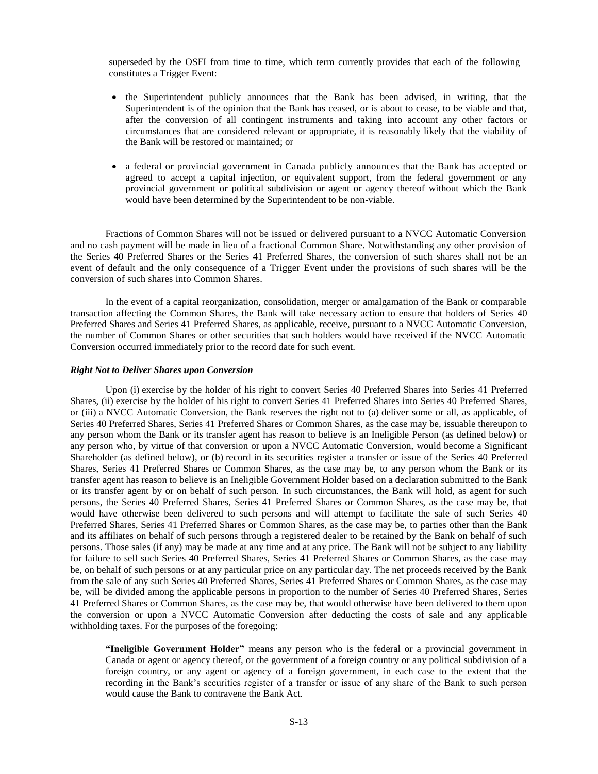superseded by the OSFI from time to time, which term currently provides that each of the following constitutes a Trigger Event:

- the Superintendent publicly announces that the Bank has been advised, in writing, that the Superintendent is of the opinion that the Bank has ceased, or is about to cease, to be viable and that, after the conversion of all contingent instruments and taking into account any other factors or circumstances that are considered relevant or appropriate, it is reasonably likely that the viability of the Bank will be restored or maintained; or
- a federal or provincial government in Canada publicly announces that the Bank has accepted or agreed to accept a capital injection, or equivalent support, from the federal government or any provincial government or political subdivision or agent or agency thereof without which the Bank would have been determined by the Superintendent to be non-viable.

Fractions of Common Shares will not be issued or delivered pursuant to a NVCC Automatic Conversion and no cash payment will be made in lieu of a fractional Common Share. Notwithstanding any other provision of the Series 40 Preferred Shares or the Series 41 Preferred Shares, the conversion of such shares shall not be an event of default and the only consequence of a Trigger Event under the provisions of such shares will be the conversion of such shares into Common Shares.

In the event of a capital reorganization, consolidation, merger or amalgamation of the Bank or comparable transaction affecting the Common Shares, the Bank will take necessary action to ensure that holders of Series 40 Preferred Shares and Series 41 Preferred Shares, as applicable, receive, pursuant to a NVCC Automatic Conversion, the number of Common Shares or other securities that such holders would have received if the NVCC Automatic Conversion occurred immediately prior to the record date for such event.

### *Right Not to Deliver Shares upon Conversion*

Upon (i) exercise by the holder of his right to convert Series 40 Preferred Shares into Series 41 Preferred Shares, (ii) exercise by the holder of his right to convert Series 41 Preferred Shares into Series 40 Preferred Shares, or (iii) a NVCC Automatic Conversion, the Bank reserves the right not to (a) deliver some or all, as applicable, of Series 40 Preferred Shares, Series 41 Preferred Shares or Common Shares, as the case may be, issuable thereupon to any person whom the Bank or its transfer agent has reason to believe is an Ineligible Person (as defined below) or any person who, by virtue of that conversion or upon a NVCC Automatic Conversion, would become a Significant Shareholder (as defined below), or (b) record in its securities register a transfer or issue of the Series 40 Preferred Shares, Series 41 Preferred Shares or Common Shares, as the case may be, to any person whom the Bank or its transfer agent has reason to believe is an Ineligible Government Holder based on a declaration submitted to the Bank or its transfer agent by or on behalf of such person. In such circumstances, the Bank will hold, as agent for such persons, the Series 40 Preferred Shares, Series 41 Preferred Shares or Common Shares, as the case may be, that would have otherwise been delivered to such persons and will attempt to facilitate the sale of such Series 40 Preferred Shares, Series 41 Preferred Shares or Common Shares, as the case may be, to parties other than the Bank and its affiliates on behalf of such persons through a registered dealer to be retained by the Bank on behalf of such persons. Those sales (if any) may be made at any time and at any price. The Bank will not be subject to any liability for failure to sell such Series 40 Preferred Shares, Series 41 Preferred Shares or Common Shares, as the case may be, on behalf of such persons or at any particular price on any particular day. The net proceeds received by the Bank from the sale of any such Series 40 Preferred Shares, Series 41 Preferred Shares or Common Shares, as the case may be, will be divided among the applicable persons in proportion to the number of Series 40 Preferred Shares, Series 41 Preferred Shares or Common Shares, as the case may be, that would otherwise have been delivered to them upon the conversion or upon a NVCC Automatic Conversion after deducting the costs of sale and any applicable withholding taxes. For the purposes of the foregoing:

**"Ineligible Government Holder"** means any person who is the federal or a provincial government in Canada or agent or agency thereof, or the government of a foreign country or any political subdivision of a foreign country, or any agent or agency of a foreign government, in each case to the extent that the recording in the Bank's securities register of a transfer or issue of any share of the Bank to such person would cause the Bank to contravene the Bank Act.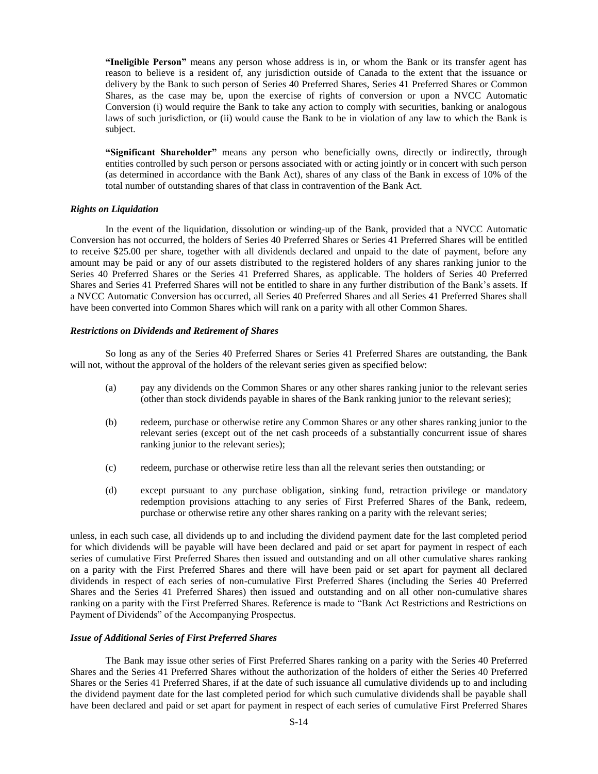**"Ineligible Person"** means any person whose address is in, or whom the Bank or its transfer agent has reason to believe is a resident of, any jurisdiction outside of Canada to the extent that the issuance or delivery by the Bank to such person of Series 40 Preferred Shares, Series 41 Preferred Shares or Common Shares, as the case may be, upon the exercise of rights of conversion or upon a NVCC Automatic Conversion (i) would require the Bank to take any action to comply with securities, banking or analogous laws of such jurisdiction, or (ii) would cause the Bank to be in violation of any law to which the Bank is subject.

**"Significant Shareholder"** means any person who beneficially owns, directly or indirectly, through entities controlled by such person or persons associated with or acting jointly or in concert with such person (as determined in accordance with the Bank Act), shares of any class of the Bank in excess of 10% of the total number of outstanding shares of that class in contravention of the Bank Act.

### *Rights on Liquidation*

In the event of the liquidation, dissolution or winding-up of the Bank, provided that a NVCC Automatic Conversion has not occurred, the holders of Series 40 Preferred Shares or Series 41 Preferred Shares will be entitled to receive \$25.00 per share, together with all dividends declared and unpaid to the date of payment, before any amount may be paid or any of our assets distributed to the registered holders of any shares ranking junior to the Series 40 Preferred Shares or the Series 41 Preferred Shares, as applicable. The holders of Series 40 Preferred Shares and Series 41 Preferred Shares will not be entitled to share in any further distribution of the Bank's assets. If a NVCC Automatic Conversion has occurred, all Series 40 Preferred Shares and all Series 41 Preferred Shares shall have been converted into Common Shares which will rank on a parity with all other Common Shares.

#### *Restrictions on Dividends and Retirement of Shares*

So long as any of the Series 40 Preferred Shares or Series 41 Preferred Shares are outstanding, the Bank will not, without the approval of the holders of the relevant series given as specified below:

- (a) pay any dividends on the Common Shares or any other shares ranking junior to the relevant series (other than stock dividends payable in shares of the Bank ranking junior to the relevant series);
- (b) redeem, purchase or otherwise retire any Common Shares or any other shares ranking junior to the relevant series (except out of the net cash proceeds of a substantially concurrent issue of shares ranking junior to the relevant series);
- (c) redeem, purchase or otherwise retire less than all the relevant series then outstanding; or
- (d) except pursuant to any purchase obligation, sinking fund, retraction privilege or mandatory redemption provisions attaching to any series of First Preferred Shares of the Bank, redeem, purchase or otherwise retire any other shares ranking on a parity with the relevant series;

unless, in each such case, all dividends up to and including the dividend payment date for the last completed period for which dividends will be payable will have been declared and paid or set apart for payment in respect of each series of cumulative First Preferred Shares then issued and outstanding and on all other cumulative shares ranking on a parity with the First Preferred Shares and there will have been paid or set apart for payment all declared dividends in respect of each series of non-cumulative First Preferred Shares (including the Series 40 Preferred Shares and the Series 41 Preferred Shares) then issued and outstanding and on all other non-cumulative shares ranking on a parity with the First Preferred Shares. Reference is made to "Bank Act Restrictions and Restrictions on Payment of Dividends" of the Accompanying Prospectus.

#### *Issue of Additional Series of First Preferred Shares*

The Bank may issue other series of First Preferred Shares ranking on a parity with the Series 40 Preferred Shares and the Series 41 Preferred Shares without the authorization of the holders of either the Series 40 Preferred Shares or the Series 41 Preferred Shares, if at the date of such issuance all cumulative dividends up to and including the dividend payment date for the last completed period for which such cumulative dividends shall be payable shall have been declared and paid or set apart for payment in respect of each series of cumulative First Preferred Shares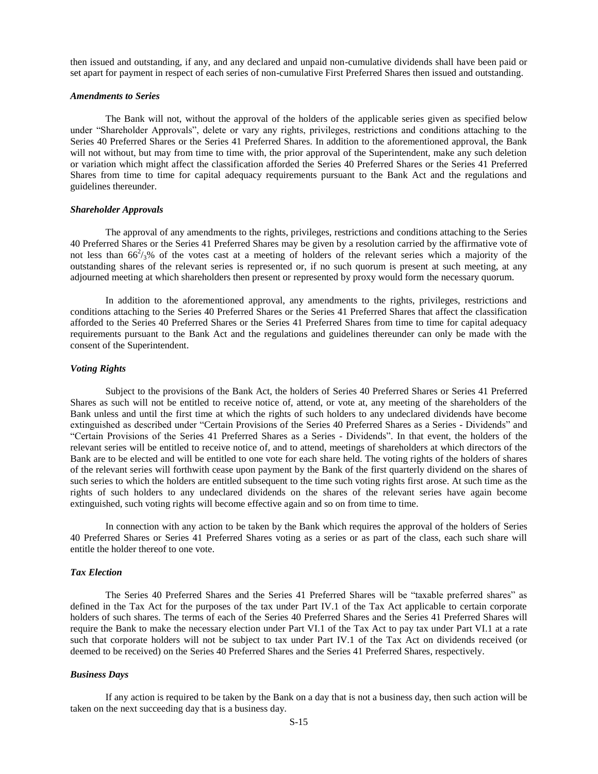then issued and outstanding, if any, and any declared and unpaid non-cumulative dividends shall have been paid or set apart for payment in respect of each series of non-cumulative First Preferred Shares then issued and outstanding.

### *Amendments to Series*

The Bank will not, without the approval of the holders of the applicable series given as specified below under "Shareholder Approvals", delete or vary any rights, privileges, restrictions and conditions attaching to the Series 40 Preferred Shares or the Series 41 Preferred Shares. In addition to the aforementioned approval, the Bank will not without, but may from time to time with, the prior approval of the Superintendent, make any such deletion or variation which might affect the classification afforded the Series 40 Preferred Shares or the Series 41 Preferred Shares from time to time for capital adequacy requirements pursuant to the Bank Act and the regulations and guidelines thereunder.

### *Shareholder Approvals*

The approval of any amendments to the rights, privileges, restrictions and conditions attaching to the Series 40 Preferred Shares or the Series 41 Preferred Shares may be given by a resolution carried by the affirmative vote of not less than  $66^2/3$ % of the votes cast at a meeting of holders of the relevant series which a majority of the outstanding shares of the relevant series is represented or, if no such quorum is present at such meeting, at any adjourned meeting at which shareholders then present or represented by proxy would form the necessary quorum.

In addition to the aforementioned approval, any amendments to the rights, privileges, restrictions and conditions attaching to the Series 40 Preferred Shares or the Series 41 Preferred Shares that affect the classification afforded to the Series 40 Preferred Shares or the Series 41 Preferred Shares from time to time for capital adequacy requirements pursuant to the Bank Act and the regulations and guidelines thereunder can only be made with the consent of the Superintendent.

#### *Voting Rights*

Subject to the provisions of the Bank Act, the holders of Series 40 Preferred Shares or Series 41 Preferred Shares as such will not be entitled to receive notice of, attend, or vote at, any meeting of the shareholders of the Bank unless and until the first time at which the rights of such holders to any undeclared dividends have become extinguished as described under "Certain Provisions of the Series 40 Preferred Shares as a Series - Dividends" and "Certain Provisions of the Series 41 Preferred Shares as a Series - Dividends". In that event, the holders of the relevant series will be entitled to receive notice of, and to attend, meetings of shareholders at which directors of the Bank are to be elected and will be entitled to one vote for each share held. The voting rights of the holders of shares of the relevant series will forthwith cease upon payment by the Bank of the first quarterly dividend on the shares of such series to which the holders are entitled subsequent to the time such voting rights first arose. At such time as the rights of such holders to any undeclared dividends on the shares of the relevant series have again become extinguished, such voting rights will become effective again and so on from time to time.

In connection with any action to be taken by the Bank which requires the approval of the holders of Series 40 Preferred Shares or Series 41 Preferred Shares voting as a series or as part of the class, each such share will entitle the holder thereof to one vote.

#### *Tax Election*

The Series 40 Preferred Shares and the Series 41 Preferred Shares will be "taxable preferred shares" as defined in the Tax Act for the purposes of the tax under Part IV.1 of the Tax Act applicable to certain corporate holders of such shares. The terms of each of the Series 40 Preferred Shares and the Series 41 Preferred Shares will require the Bank to make the necessary election under Part VI.1 of the Tax Act to pay tax under Part VI.1 at a rate such that corporate holders will not be subject to tax under Part IV.1 of the Tax Act on dividends received (or deemed to be received) on the Series 40 Preferred Shares and the Series 41 Preferred Shares, respectively.

#### *Business Days*

If any action is required to be taken by the Bank on a day that is not a business day, then such action will be taken on the next succeeding day that is a business day.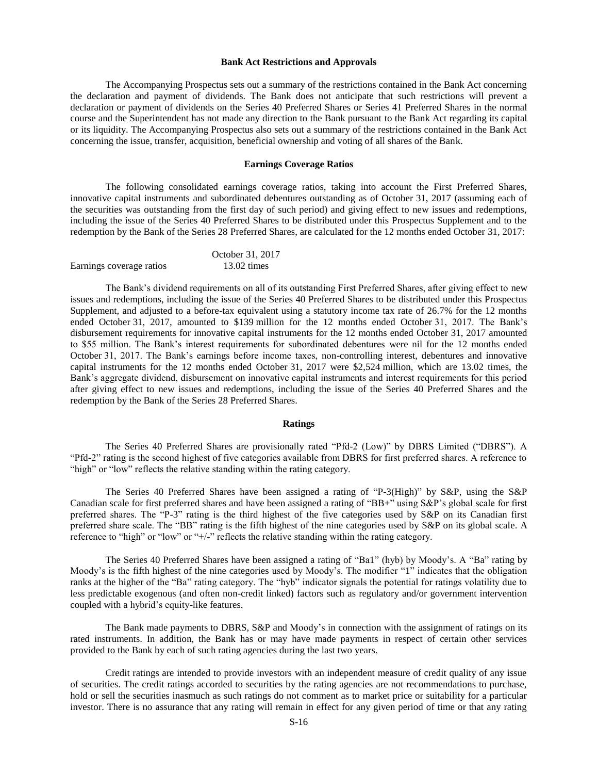#### **Bank Act Restrictions and Approvals**

<span id="page-15-0"></span>The Accompanying Prospectus sets out a summary of the restrictions contained in the Bank Act concerning the declaration and payment of dividends. The Bank does not anticipate that such restrictions will prevent a declaration or payment of dividends on the Series 40 Preferred Shares or Series 41 Preferred Shares in the normal course and the Superintendent has not made any direction to the Bank pursuant to the Bank Act regarding its capital or its liquidity. The Accompanying Prospectus also sets out a summary of the restrictions contained in the Bank Act concerning the issue, transfer, acquisition, beneficial ownership and voting of all shares of the Bank.

#### **Earnings Coverage Ratios**

<span id="page-15-1"></span>The following consolidated earnings coverage ratios, taking into account the First Preferred Shares, innovative capital instruments and subordinated debentures outstanding as of October 31, 2017 (assuming each of the securities was outstanding from the first day of such period) and giving effect to new issues and redemptions, including the issue of the Series 40 Preferred Shares to be distributed under this Prospectus Supplement and to the redemption by the Bank of the Series 28 Preferred Shares, are calculated for the 12 months ended October 31, 2017:

|                          | October 31, 2017      |
|--------------------------|-----------------------|
| Earnings coverage ratios | $13.02 \text{ times}$ |

The Bank's dividend requirements on all of its outstanding First Preferred Shares, after giving effect to new issues and redemptions, including the issue of the Series 40 Preferred Shares to be distributed under this Prospectus Supplement, and adjusted to a before-tax equivalent using a statutory income tax rate of 26.7% for the 12 months ended October 31, 2017, amounted to \$139 million for the 12 months ended October 31, 2017. The Bank's disbursement requirements for innovative capital instruments for the 12 months ended October 31, 2017 amounted to \$55 million. The Bank's interest requirements for subordinated debentures were nil for the 12 months ended October 31, 2017. The Bank's earnings before income taxes, non-controlling interest, debentures and innovative capital instruments for the 12 months ended October 31, 2017 were \$2,524 million, which are 13.02 times, the Bank's aggregate dividend, disbursement on innovative capital instruments and interest requirements for this period after giving effect to new issues and redemptions, including the issue of the Series 40 Preferred Shares and the redemption by the Bank of the Series 28 Preferred Shares.

#### **Ratings**

<span id="page-15-2"></span>The Series 40 Preferred Shares are provisionally rated "Pfd-2 (Low)" by DBRS Limited ("DBRS"). A "Pfd-2" rating is the second highest of five categories available from DBRS for first preferred shares. A reference to "high" or "low" reflects the relative standing within the rating category.

The Series 40 Preferred Shares have been assigned a rating of "P-3(High)" by S&P, using the S&P Canadian scale for first preferred shares and have been assigned a rating of "BB+" using S&P's global scale for first preferred shares. The "P-3" rating is the third highest of the five categories used by S&P on its Canadian first preferred share scale. The "BB" rating is the fifth highest of the nine categories used by S&P on its global scale. A reference to "high" or "low" or "+/-" reflects the relative standing within the rating category.

The Series 40 Preferred Shares have been assigned a rating of "Ba1" (hyb) by Moody's. A "Ba" rating by Moody's is the fifth highest of the nine categories used by Moody's. The modifier "1" indicates that the obligation ranks at the higher of the "Ba" rating category. The "hyb" indicator signals the potential for ratings volatility due to less predictable exogenous (and often non-credit linked) factors such as regulatory and/or government intervention coupled with a hybrid's equity-like features.

The Bank made payments to DBRS, S&P and Moody's in connection with the assignment of ratings on its rated instruments. In addition, the Bank has or may have made payments in respect of certain other services provided to the Bank by each of such rating agencies during the last two years.

Credit ratings are intended to provide investors with an independent measure of credit quality of any issue of securities. The credit ratings accorded to securities by the rating agencies are not recommendations to purchase, hold or sell the securities inasmuch as such ratings do not comment as to market price or suitability for a particular investor. There is no assurance that any rating will remain in effect for any given period of time or that any rating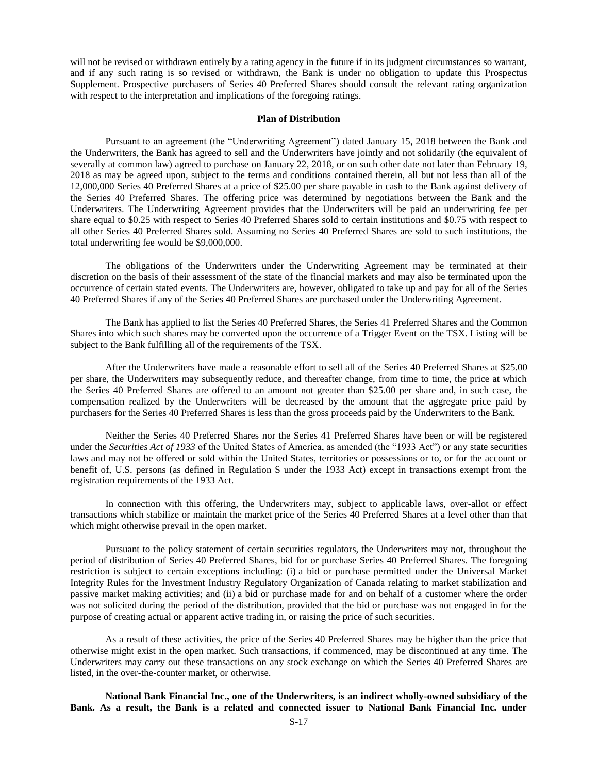will not be revised or withdrawn entirely by a rating agency in the future if in its judgment circumstances so warrant, and if any such rating is so revised or withdrawn, the Bank is under no obligation to update this Prospectus Supplement. Prospective purchasers of Series 40 Preferred Shares should consult the relevant rating organization with respect to the interpretation and implications of the foregoing ratings.

#### **Plan of Distribution**

<span id="page-16-0"></span>Pursuant to an agreement (the "Underwriting Agreement") dated January 15, 2018 between the Bank and the Underwriters, the Bank has agreed to sell and the Underwriters have jointly and not solidarily (the equivalent of severally at common law) agreed to purchase on January 22, 2018, or on such other date not later than February 19, 2018 as may be agreed upon, subject to the terms and conditions contained therein, all but not less than all of the 12,000,000 Series 40 Preferred Shares at a price of \$25.00 per share payable in cash to the Bank against delivery of the Series 40 Preferred Shares. The offering price was determined by negotiations between the Bank and the Underwriters. The Underwriting Agreement provides that the Underwriters will be paid an underwriting fee per share equal to \$0.25 with respect to Series 40 Preferred Shares sold to certain institutions and \$0.75 with respect to all other Series 40 Preferred Shares sold. Assuming no Series 40 Preferred Shares are sold to such institutions, the total underwriting fee would be \$9,000,000.

The obligations of the Underwriters under the Underwriting Agreement may be terminated at their discretion on the basis of their assessment of the state of the financial markets and may also be terminated upon the occurrence of certain stated events. The Underwriters are, however, obligated to take up and pay for all of the Series 40 Preferred Shares if any of the Series 40 Preferred Shares are purchased under the Underwriting Agreement.

The Bank has applied to list the Series 40 Preferred Shares, the Series 41 Preferred Shares and the Common Shares into which such shares may be converted upon the occurrence of a Trigger Event on the TSX. Listing will be subject to the Bank fulfilling all of the requirements of the TSX.

After the Underwriters have made a reasonable effort to sell all of the Series 40 Preferred Shares at \$25.00 per share, the Underwriters may subsequently reduce, and thereafter change, from time to time, the price at which the Series 40 Preferred Shares are offered to an amount not greater than \$25.00 per share and, in such case, the compensation realized by the Underwriters will be decreased by the amount that the aggregate price paid by purchasers for the Series 40 Preferred Shares is less than the gross proceeds paid by the Underwriters to the Bank.

Neither the Series 40 Preferred Shares nor the Series 41 Preferred Shares have been or will be registered under the *Securities Act of 1933* of the United States of America, as amended (the "1933 Act") or any state securities laws and may not be offered or sold within the United States, territories or possessions or to, or for the account or benefit of, U.S. persons (as defined in Regulation S under the 1933 Act) except in transactions exempt from the registration requirements of the 1933 Act.

In connection with this offering, the Underwriters may, subject to applicable laws, over-allot or effect transactions which stabilize or maintain the market price of the Series 40 Preferred Shares at a level other than that which might otherwise prevail in the open market.

Pursuant to the policy statement of certain securities regulators, the Underwriters may not, throughout the period of distribution of Series 40 Preferred Shares, bid for or purchase Series 40 Preferred Shares. The foregoing restriction is subject to certain exceptions including: (i) a bid or purchase permitted under the Universal Market Integrity Rules for the Investment Industry Regulatory Organization of Canada relating to market stabilization and passive market making activities; and (ii) a bid or purchase made for and on behalf of a customer where the order was not solicited during the period of the distribution, provided that the bid or purchase was not engaged in for the purpose of creating actual or apparent active trading in, or raising the price of such securities.

As a result of these activities, the price of the Series 40 Preferred Shares may be higher than the price that otherwise might exist in the open market. Such transactions, if commenced, may be discontinued at any time. The Underwriters may carry out these transactions on any stock exchange on which the Series 40 Preferred Shares are listed, in the over-the-counter market, or otherwise.

**National Bank Financial Inc., one of the Underwriters, is an indirect wholly-owned subsidiary of the Bank. As a result, the Bank is a related and connected issuer to National Bank Financial Inc. under**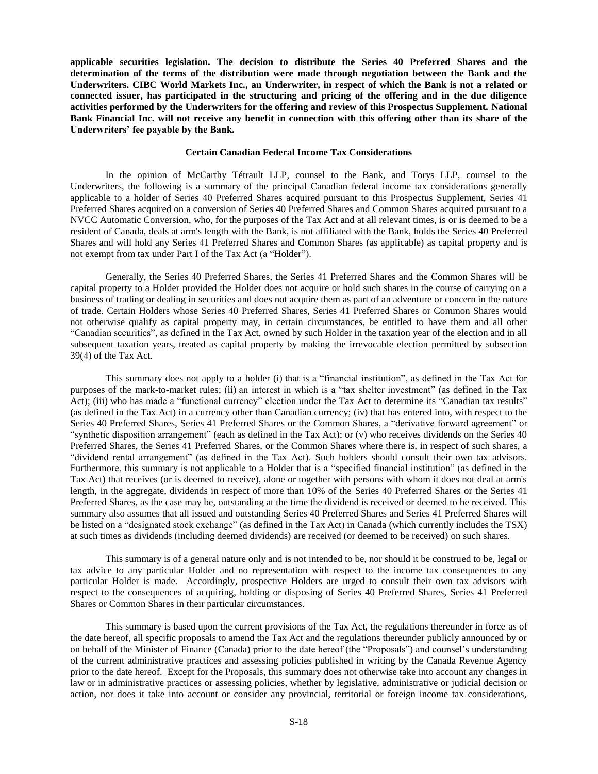**applicable securities legislation. The decision to distribute the Series 40 Preferred Shares and the determination of the terms of the distribution were made through negotiation between the Bank and the Underwriters. CIBC World Markets Inc., an Underwriter, in respect of which the Bank is not a related or connected issuer, has participated in the structuring and pricing of the offering and in the due diligence activities performed by the Underwriters for the offering and review of this Prospectus Supplement. National Bank Financial Inc. will not receive any benefit in connection with this offering other than its share of the Underwriters' fee payable by the Bank.**

#### **Certain Canadian Federal Income Tax Considerations**

<span id="page-17-0"></span>In the opinion of McCarthy Tétrault LLP, counsel to the Bank, and Torys LLP, counsel to the Underwriters, the following is a summary of the principal Canadian federal income tax considerations generally applicable to a holder of Series 40 Preferred Shares acquired pursuant to this Prospectus Supplement, Series 41 Preferred Shares acquired on a conversion of Series 40 Preferred Shares and Common Shares acquired pursuant to a NVCC Automatic Conversion, who, for the purposes of the Tax Act and at all relevant times, is or is deemed to be a resident of Canada, deals at arm's length with the Bank, is not affiliated with the Bank, holds the Series 40 Preferred Shares and will hold any Series 41 Preferred Shares and Common Shares (as applicable) as capital property and is not exempt from tax under Part I of the Tax Act (a "Holder").

Generally, the Series 40 Preferred Shares, the Series 41 Preferred Shares and the Common Shares will be capital property to a Holder provided the Holder does not acquire or hold such shares in the course of carrying on a business of trading or dealing in securities and does not acquire them as part of an adventure or concern in the nature of trade. Certain Holders whose Series 40 Preferred Shares, Series 41 Preferred Shares or Common Shares would not otherwise qualify as capital property may, in certain circumstances, be entitled to have them and all other "Canadian securities", as defined in the Tax Act, owned by such Holder in the taxation year of the election and in all subsequent taxation years, treated as capital property by making the irrevocable election permitted by subsection 39(4) of the Tax Act.

This summary does not apply to a holder (i) that is a "financial institution", as defined in the Tax Act for purposes of the mark-to-market rules; (ii) an interest in which is a "tax shelter investment" (as defined in the Tax Act); (iii) who has made a "functional currency" election under the Tax Act to determine its "Canadian tax results" (as defined in the Tax Act) in a currency other than Canadian currency; (iv) that has entered into, with respect to the Series 40 Preferred Shares, Series 41 Preferred Shares or the Common Shares, a "derivative forward agreement" or "synthetic disposition arrangement" (each as defined in the Tax Act); or (v) who receives dividends on the Series 40 Preferred Shares, the Series 41 Preferred Shares, or the Common Shares where there is, in respect of such shares, a "dividend rental arrangement" (as defined in the Tax Act). Such holders should consult their own tax advisors. Furthermore, this summary is not applicable to a Holder that is a "specified financial institution" (as defined in the Tax Act) that receives (or is deemed to receive), alone or together with persons with whom it does not deal at arm's length, in the aggregate, dividends in respect of more than 10% of the Series 40 Preferred Shares or the Series 41 Preferred Shares, as the case may be, outstanding at the time the dividend is received or deemed to be received. This summary also assumes that all issued and outstanding Series 40 Preferred Shares and Series 41 Preferred Shares will be listed on a "designated stock exchange" (as defined in the Tax Act) in Canada (which currently includes the TSX) at such times as dividends (including deemed dividends) are received (or deemed to be received) on such shares.

This summary is of a general nature only and is not intended to be, nor should it be construed to be, legal or tax advice to any particular Holder and no representation with respect to the income tax consequences to any particular Holder is made. Accordingly, prospective Holders are urged to consult their own tax advisors with respect to the consequences of acquiring, holding or disposing of Series 40 Preferred Shares, Series 41 Preferred Shares or Common Shares in their particular circumstances.

This summary is based upon the current provisions of the Tax Act, the regulations thereunder in force as of the date hereof, all specific proposals to amend the Tax Act and the regulations thereunder publicly announced by or on behalf of the Minister of Finance (Canada) prior to the date hereof (the "Proposals") and counsel's understanding of the current administrative practices and assessing policies published in writing by the Canada Revenue Agency prior to the date hereof. Except for the Proposals, this summary does not otherwise take into account any changes in law or in administrative practices or assessing policies, whether by legislative, administrative or judicial decision or action, nor does it take into account or consider any provincial, territorial or foreign income tax considerations,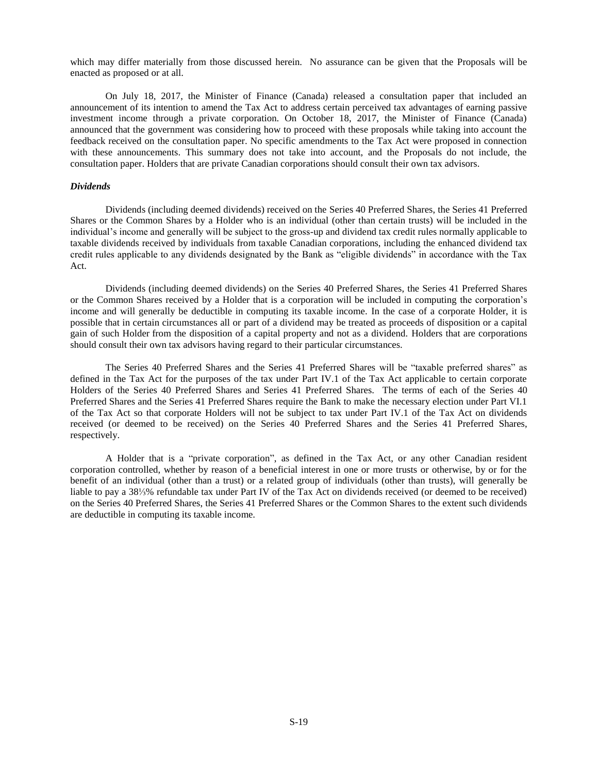which may differ materially from those discussed herein. No assurance can be given that the Proposals will be enacted as proposed or at all.

On July 18, 2017, the Minister of Finance (Canada) released a consultation paper that included an announcement of its intention to amend the Tax Act to address certain perceived tax advantages of earning passive investment income through a private corporation. On October 18, 2017, the Minister of Finance (Canada) announced that the government was considering how to proceed with these proposals while taking into account the feedback received on the consultation paper. No specific amendments to the Tax Act were proposed in connection with these announcements. This summary does not take into account, and the Proposals do not include, the consultation paper. Holders that are private Canadian corporations should consult their own tax advisors.

### *Dividends*

Dividends (including deemed dividends) received on the Series 40 Preferred Shares, the Series 41 Preferred Shares or the Common Shares by a Holder who is an individual (other than certain trusts) will be included in the individual's income and generally will be subject to the gross-up and dividend tax credit rules normally applicable to taxable dividends received by individuals from taxable Canadian corporations, including the enhanced dividend tax credit rules applicable to any dividends designated by the Bank as "eligible dividends" in accordance with the Tax Act.

Dividends (including deemed dividends) on the Series 40 Preferred Shares, the Series 41 Preferred Shares or the Common Shares received by a Holder that is a corporation will be included in computing the corporation's income and will generally be deductible in computing its taxable income. In the case of a corporate Holder, it is possible that in certain circumstances all or part of a dividend may be treated as proceeds of disposition or a capital gain of such Holder from the disposition of a capital property and not as a dividend. Holders that are corporations should consult their own tax advisors having regard to their particular circumstances.

The Series 40 Preferred Shares and the Series 41 Preferred Shares will be "taxable preferred shares" as defined in the Tax Act for the purposes of the tax under Part IV.1 of the Tax Act applicable to certain corporate Holders of the Series 40 Preferred Shares and Series 41 Preferred Shares. The terms of each of the Series 40 Preferred Shares and the Series 41 Preferred Shares require the Bank to make the necessary election under Part VI.1 of the Tax Act so that corporate Holders will not be subject to tax under Part IV.1 of the Tax Act on dividends received (or deemed to be received) on the Series 40 Preferred Shares and the Series 41 Preferred Shares, respectively.

A Holder that is a "private corporation", as defined in the Tax Act, or any other Canadian resident corporation controlled, whether by reason of a beneficial interest in one or more trusts or otherwise, by or for the benefit of an individual (other than a trust) or a related group of individuals (other than trusts), will generally be liable to pay a 38⅓% refundable tax under Part IV of the Tax Act on dividends received (or deemed to be received) on the Series 40 Preferred Shares, the Series 41 Preferred Shares or the Common Shares to the extent such dividends are deductible in computing its taxable income.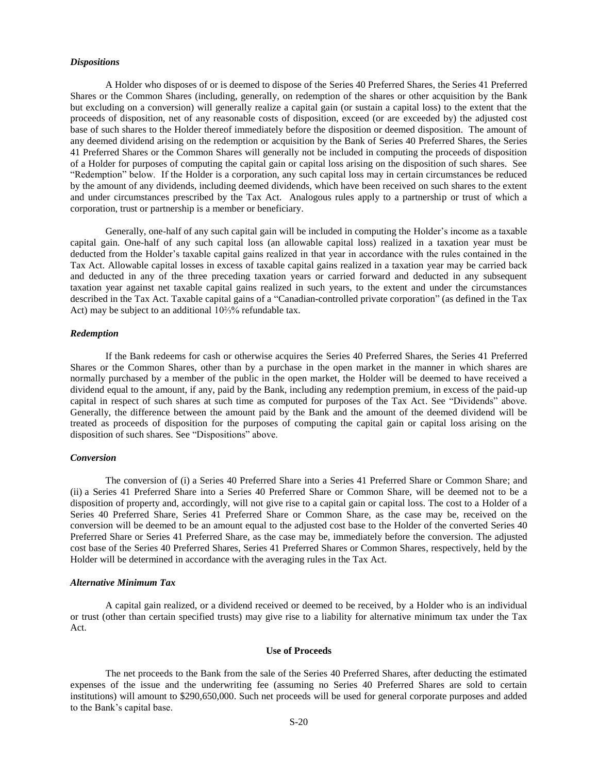#### *Dispositions*

A Holder who disposes of or is deemed to dispose of the Series 40 Preferred Shares, the Series 41 Preferred Shares or the Common Shares (including, generally, on redemption of the shares or other acquisition by the Bank but excluding on a conversion) will generally realize a capital gain (or sustain a capital loss) to the extent that the proceeds of disposition, net of any reasonable costs of disposition, exceed (or are exceeded by) the adjusted cost base of such shares to the Holder thereof immediately before the disposition or deemed disposition. The amount of any deemed dividend arising on the redemption or acquisition by the Bank of Series 40 Preferred Shares, the Series 41 Preferred Shares or the Common Shares will generally not be included in computing the proceeds of disposition of a Holder for purposes of computing the capital gain or capital loss arising on the disposition of such shares. See "Redemption" below. If the Holder is a corporation, any such capital loss may in certain circumstances be reduced by the amount of any dividends, including deemed dividends, which have been received on such shares to the extent and under circumstances prescribed by the Tax Act. Analogous rules apply to a partnership or trust of which a corporation, trust or partnership is a member or beneficiary.

Generally, one-half of any such capital gain will be included in computing the Holder's income as a taxable capital gain. One-half of any such capital loss (an allowable capital loss) realized in a taxation year must be deducted from the Holder's taxable capital gains realized in that year in accordance with the rules contained in the Tax Act. Allowable capital losses in excess of taxable capital gains realized in a taxation year may be carried back and deducted in any of the three preceding taxation years or carried forward and deducted in any subsequent taxation year against net taxable capital gains realized in such years, to the extent and under the circumstances described in the Tax Act. Taxable capital gains of a "Canadian-controlled private corporation" (as defined in the Tax Act) may be subject to an additional 10⅔% refundable tax.

### *Redemption*

If the Bank redeems for cash or otherwise acquires the Series 40 Preferred Shares, the Series 41 Preferred Shares or the Common Shares, other than by a purchase in the open market in the manner in which shares are normally purchased by a member of the public in the open market, the Holder will be deemed to have received a dividend equal to the amount, if any, paid by the Bank, including any redemption premium, in excess of the paid-up capital in respect of such shares at such time as computed for purposes of the Tax Act. See "Dividends" above. Generally, the difference between the amount paid by the Bank and the amount of the deemed dividend will be treated as proceeds of disposition for the purposes of computing the capital gain or capital loss arising on the disposition of such shares. See "Dispositions" above.

### *Conversion*

The conversion of (i) a Series 40 Preferred Share into a Series 41 Preferred Share or Common Share; and (ii) a Series 41 Preferred Share into a Series 40 Preferred Share or Common Share, will be deemed not to be a disposition of property and, accordingly, will not give rise to a capital gain or capital loss. The cost to a Holder of a Series 40 Preferred Share, Series 41 Preferred Share or Common Share, as the case may be, received on the conversion will be deemed to be an amount equal to the adjusted cost base to the Holder of the converted Series 40 Preferred Share or Series 41 Preferred Share, as the case may be, immediately before the conversion. The adjusted cost base of the Series 40 Preferred Shares, Series 41 Preferred Shares or Common Shares, respectively, held by the Holder will be determined in accordance with the averaging rules in the Tax Act.

#### *Alternative Minimum Tax*

A capital gain realized, or a dividend received or deemed to be received, by a Holder who is an individual or trust (other than certain specified trusts) may give rise to a liability for alternative minimum tax under the Tax Act.

#### **Use of Proceeds**

<span id="page-19-0"></span>The net proceeds to the Bank from the sale of the Series 40 Preferred Shares, after deducting the estimated expenses of the issue and the underwriting fee (assuming no Series 40 Preferred Shares are sold to certain institutions) will amount to \$290,650,000. Such net proceeds will be used for general corporate purposes and added to the Bank's capital base.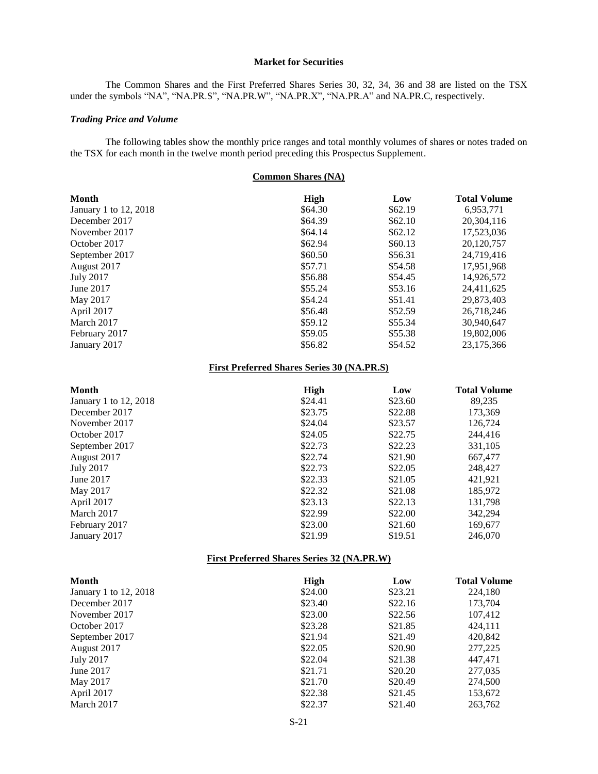### **Market for Securities**

<span id="page-20-0"></span>The Common Shares and the First Preferred Shares Series 30, 32, 34, 36 and 38 are listed on the TSX under the symbols "NA", "NA.PR.S", "NA.PR.W", "NA.PR.X", "NA.PR.A" and NA.PR.C, respectively.

### *Trading Price and Volume*

The following tables show the monthly price ranges and total monthly volumes of shares or notes traded on the TSX for each month in the twelve month period preceding this Prospectus Supplement.

| <b>Common Shares (NA)</b> |         |                     |  |
|---------------------------|---------|---------------------|--|
| High                      | Low     | <b>Total Volume</b> |  |
| \$64.30                   | \$62.19 | 6,953,771           |  |
| \$64.39                   | \$62.10 | 20,304,116          |  |
| \$64.14                   | \$62.12 | 17,523,036          |  |
| \$62.94                   | \$60.13 | 20,120,757          |  |
| \$60.50                   | \$56.31 | 24,719,416          |  |
| \$57.71                   | \$54.58 | 17,951,968          |  |
| \$56.88                   | \$54.45 | 14,926,572          |  |
| \$55.24                   | \$53.16 | 24,411,625          |  |
| \$54.24                   | \$51.41 | 29,873,403          |  |
| \$56.48                   | \$52.59 | 26,718,246          |  |
| \$59.12                   | \$55.34 | 30,940,647          |  |
| \$59.05                   | \$55.38 | 19,802,006          |  |
| \$56.82                   | \$54.52 | 23,175,366          |  |
|                           |         |                     |  |

### **First Preferred Shares Series 30 (NA.PR.S)**

| <b>Month</b>          | High    | Low     | <b>Total Volume</b> |
|-----------------------|---------|---------|---------------------|
| January 1 to 12, 2018 | \$24.41 | \$23.60 | 89,235              |
| December 2017         | \$23.75 | \$22.88 | 173,369             |
| November 2017         | \$24.04 | \$23.57 | 126,724             |
| October 2017          | \$24.05 | \$22.75 | 244,416             |
| September 2017        | \$22.73 | \$22.23 | 331,105             |
| August 2017           | \$22.74 | \$21.90 | 667,477             |
| July 2017             | \$22.73 | \$22.05 | 248,427             |
| June 2017             | \$22.33 | \$21.05 | 421,921             |
| May 2017              | \$22.32 | \$21.08 | 185,972             |
| April 2017            | \$23.13 | \$22.13 | 131,798             |
| March 2017            | \$22.99 | \$22.00 | 342,294             |
| February 2017         | \$23.00 | \$21.60 | 169,677             |
| January 2017          | \$21.99 | \$19.51 | 246,070             |

### **First Preferred Shares Series 32 (NA.PR.W)**

| Month                 | High    | Low     | <b>Total Volume</b> |
|-----------------------|---------|---------|---------------------|
| January 1 to 12, 2018 | \$24.00 | \$23.21 | 224,180             |
| December 2017         | \$23.40 | \$22.16 | 173,704             |
| November 2017         | \$23.00 | \$22.56 | 107,412             |
| October 2017          | \$23.28 | \$21.85 | 424,111             |
| September 2017        | \$21.94 | \$21.49 | 420,842             |
| August 2017           | \$22.05 | \$20.90 | 277,225             |
| July 2017             | \$22.04 | \$21.38 | 447,471             |
| June 2017             | \$21.71 | \$20.20 | 277,035             |
| May 2017              | \$21.70 | \$20.49 | 274,500             |
| April 2017            | \$22.38 | \$21.45 | 153,672             |
| March 2017            | \$22.37 | \$21.40 | 263,762             |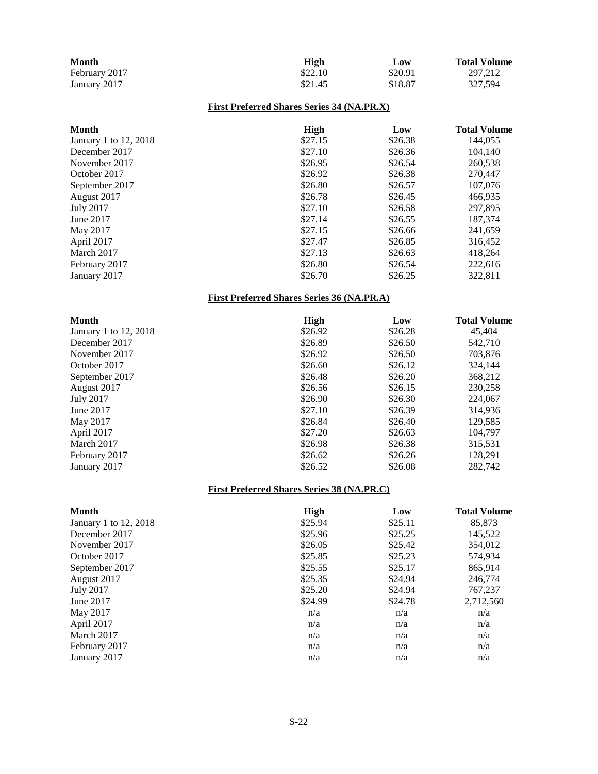| <b>Month</b>  | High    | Low     | <b>Total Volume</b> |
|---------------|---------|---------|---------------------|
| February 2017 | \$22.10 | \$20.91 | 297.212             |
| January 2017  | \$21.45 | \$18.87 | 327.594             |

# **First Preferred Shares Series 34 (NA.PR.X)**

| <b>Month</b>          | High    | Low     | <b>Total Volume</b> |
|-----------------------|---------|---------|---------------------|
| January 1 to 12, 2018 | \$27.15 | \$26.38 | 144,055             |
| December 2017         | \$27.10 | \$26.36 | 104,140             |
| November 2017         | \$26.95 | \$26.54 | 260,538             |
| October 2017          | \$26.92 | \$26.38 | 270,447             |
| September 2017        | \$26.80 | \$26.57 | 107,076             |
| August 2017           | \$26.78 | \$26.45 | 466,935             |
| <b>July 2017</b>      | \$27.10 | \$26.58 | 297,895             |
| June 2017             | \$27.14 | \$26.55 | 187,374             |
| May 2017              | \$27.15 | \$26.66 | 241,659             |
| April 2017            | \$27.47 | \$26.85 | 316,452             |
| March 2017            | \$27.13 | \$26.63 | 418,264             |
| February 2017         | \$26.80 | \$26.54 | 222,616             |
| January 2017          | \$26.70 | \$26.25 | 322.811             |

# **First Preferred Shares Series 36 (NA.PR.A)**

| <b>Month</b>          | High    | Low     | <b>Total Volume</b> |
|-----------------------|---------|---------|---------------------|
| January 1 to 12, 2018 | \$26.92 | \$26.28 | 45,404              |
| December 2017         | \$26.89 | \$26.50 | 542,710             |
| November 2017         | \$26.92 | \$26.50 | 703,876             |
| October 2017          | \$26.60 | \$26.12 | 324,144             |
| September 2017        | \$26.48 | \$26.20 | 368,212             |
| August 2017           | \$26.56 | \$26.15 | 230,258             |
| July 2017             | \$26.90 | \$26.30 | 224,067             |
| June 2017             | \$27.10 | \$26.39 | 314,936             |
| May 2017              | \$26.84 | \$26.40 | 129,585             |
| April 2017            | \$27.20 | \$26.63 | 104.797             |
| March 2017            | \$26.98 | \$26.38 | 315,531             |
| February 2017         | \$26.62 | \$26.26 | 128,291             |
| January 2017          | \$26.52 | \$26.08 | 282.742             |

# **First Preferred Shares Series 38 (NA.PR.C)**

| <b>Month</b>          | <b>High</b> | Low     | <b>Total Volume</b> |
|-----------------------|-------------|---------|---------------------|
| January 1 to 12, 2018 | \$25.94     | \$25.11 | 85,873              |
| December 2017         | \$25.96     | \$25.25 | 145,522             |
| November 2017         | \$26.05     | \$25.42 | 354,012             |
| October 2017          | \$25.85     | \$25.23 | 574,934             |
| September 2017        | \$25.55     | \$25.17 | 865,914             |
| August 2017           | \$25.35     | \$24.94 | 246,774             |
| <b>July 2017</b>      | \$25.20     | \$24.94 | 767,237             |
| June 2017             | \$24.99     | \$24.78 | 2,712,560           |
| May 2017              | n/a         | n/a     | n/a                 |
| April 2017            | n/a         | n/a     | n/a                 |
| March 2017            | n/a         | n/a     | n/a                 |
| February 2017         | n/a         | n/a     | n/a                 |
| January 2017          | n/a         | n/a     | n/a                 |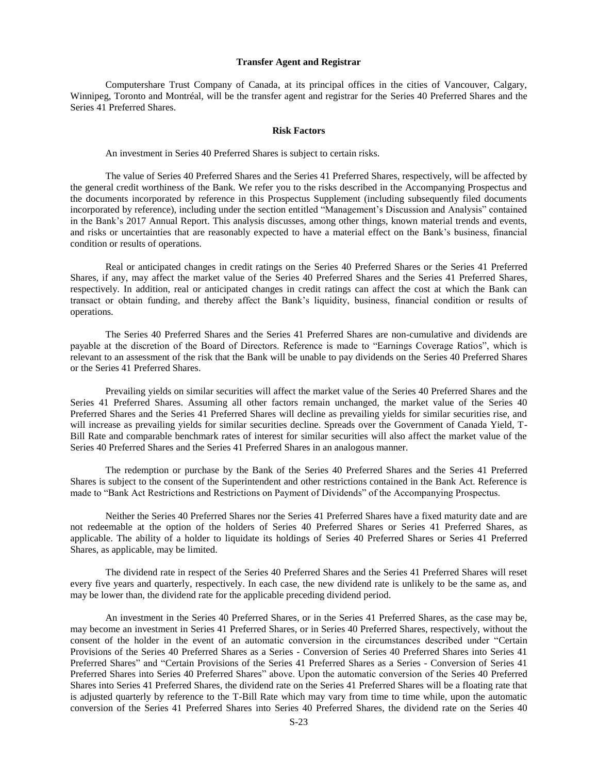#### **Transfer Agent and Registrar**

<span id="page-22-1"></span><span id="page-22-0"></span>Computershare Trust Company of Canada, at its principal offices in the cities of Vancouver, Calgary, Winnipeg, Toronto and Montréal, will be the transfer agent and registrar for the Series 40 Preferred Shares and the Series 41 Preferred Shares.

### **Risk Factors**

An investment in Series 40 Preferred Shares is subject to certain risks.

The value of Series 40 Preferred Shares and the Series 41 Preferred Shares, respectively, will be affected by the general credit worthiness of the Bank. We refer you to the risks described in the Accompanying Prospectus and the documents incorporated by reference in this Prospectus Supplement (including subsequently filed documents incorporated by reference), including under the section entitled "Management's Discussion and Analysis" contained in the Bank's 2017 Annual Report. This analysis discusses, among other things, known material trends and events, and risks or uncertainties that are reasonably expected to have a material effect on the Bank's business, financial condition or results of operations.

Real or anticipated changes in credit ratings on the Series 40 Preferred Shares or the Series 41 Preferred Shares, if any, may affect the market value of the Series 40 Preferred Shares and the Series 41 Preferred Shares, respectively. In addition, real or anticipated changes in credit ratings can affect the cost at which the Bank can transact or obtain funding, and thereby affect the Bank's liquidity, business, financial condition or results of operations.

The Series 40 Preferred Shares and the Series 41 Preferred Shares are non-cumulative and dividends are payable at the discretion of the Board of Directors. Reference is made to "Earnings Coverage Ratios", which is relevant to an assessment of the risk that the Bank will be unable to pay dividends on the Series 40 Preferred Shares or the Series 41 Preferred Shares.

Prevailing yields on similar securities will affect the market value of the Series 40 Preferred Shares and the Series 41 Preferred Shares. Assuming all other factors remain unchanged, the market value of the Series 40 Preferred Shares and the Series 41 Preferred Shares will decline as prevailing yields for similar securities rise, and will increase as prevailing yields for similar securities decline. Spreads over the Government of Canada Yield, T-Bill Rate and comparable benchmark rates of interest for similar securities will also affect the market value of the Series 40 Preferred Shares and the Series 41 Preferred Shares in an analogous manner.

The redemption or purchase by the Bank of the Series 40 Preferred Shares and the Series 41 Preferred Shares is subject to the consent of the Superintendent and other restrictions contained in the Bank Act. Reference is made to "Bank Act Restrictions and Restrictions on Payment of Dividends" of the Accompanying Prospectus.

Neither the Series 40 Preferred Shares nor the Series 41 Preferred Shares have a fixed maturity date and are not redeemable at the option of the holders of Series 40 Preferred Shares or Series 41 Preferred Shares, as applicable. The ability of a holder to liquidate its holdings of Series 40 Preferred Shares or Series 41 Preferred Shares, as applicable, may be limited.

The dividend rate in respect of the Series 40 Preferred Shares and the Series 41 Preferred Shares will reset every five years and quarterly, respectively. In each case, the new dividend rate is unlikely to be the same as, and may be lower than, the dividend rate for the applicable preceding dividend period.

An investment in the Series 40 Preferred Shares, or in the Series 41 Preferred Shares, as the case may be, may become an investment in Series 41 Preferred Shares, or in Series 40 Preferred Shares, respectively, without the consent of the holder in the event of an automatic conversion in the circumstances described under "Certain Provisions of the Series 40 Preferred Shares as a Series - Conversion of Series 40 Preferred Shares into Series 41 Preferred Shares" and "Certain Provisions of the Series 41 Preferred Shares as a Series - Conversion of Series 41 Preferred Shares into Series 40 Preferred Shares" above. Upon the automatic conversion of the Series 40 Preferred Shares into Series 41 Preferred Shares, the dividend rate on the Series 41 Preferred Shares will be a floating rate that is adjusted quarterly by reference to the T-Bill Rate which may vary from time to time while, upon the automatic conversion of the Series 41 Preferred Shares into Series 40 Preferred Shares, the dividend rate on the Series 40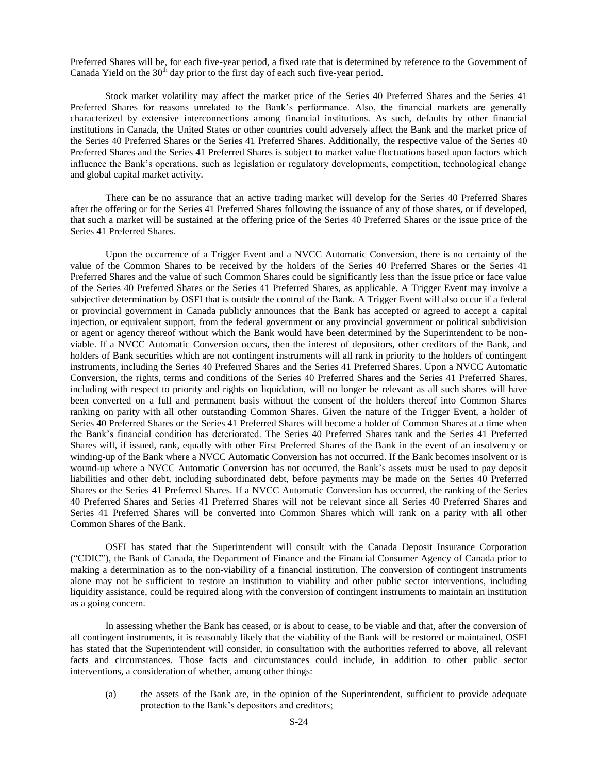Preferred Shares will be, for each five-year period, a fixed rate that is determined by reference to the Government of Canada Yield on the  $30<sup>th</sup>$  day prior to the first day of each such five-year period.

Stock market volatility may affect the market price of the Series 40 Preferred Shares and the Series 41 Preferred Shares for reasons unrelated to the Bank's performance. Also, the financial markets are generally characterized by extensive interconnections among financial institutions. As such, defaults by other financial institutions in Canada, the United States or other countries could adversely affect the Bank and the market price of the Series 40 Preferred Shares or the Series 41 Preferred Shares. Additionally, the respective value of the Series 40 Preferred Shares and the Series 41 Preferred Shares is subject to market value fluctuations based upon factors which influence the Bank's operations, such as legislation or regulatory developments, competition, technological change and global capital market activity.

There can be no assurance that an active trading market will develop for the Series 40 Preferred Shares after the offering or for the Series 41 Preferred Shares following the issuance of any of those shares, or if developed, that such a market will be sustained at the offering price of the Series 40 Preferred Shares or the issue price of the Series 41 Preferred Shares.

Upon the occurrence of a Trigger Event and a NVCC Automatic Conversion, there is no certainty of the value of the Common Shares to be received by the holders of the Series 40 Preferred Shares or the Series 41 Preferred Shares and the value of such Common Shares could be significantly less than the issue price or face value of the Series 40 Preferred Shares or the Series 41 Preferred Shares, as applicable. A Trigger Event may involve a subjective determination by OSFI that is outside the control of the Bank. A Trigger Event will also occur if a federal or provincial government in Canada publicly announces that the Bank has accepted or agreed to accept a capital injection, or equivalent support, from the federal government or any provincial government or political subdivision or agent or agency thereof without which the Bank would have been determined by the Superintendent to be nonviable. If a NVCC Automatic Conversion occurs, then the interest of depositors, other creditors of the Bank, and holders of Bank securities which are not contingent instruments will all rank in priority to the holders of contingent instruments, including the Series 40 Preferred Shares and the Series 41 Preferred Shares. Upon a NVCC Automatic Conversion, the rights, terms and conditions of the Series 40 Preferred Shares and the Series 41 Preferred Shares, including with respect to priority and rights on liquidation, will no longer be relevant as all such shares will have been converted on a full and permanent basis without the consent of the holders thereof into Common Shares ranking on parity with all other outstanding Common Shares. Given the nature of the Trigger Event, a holder of Series 40 Preferred Shares or the Series 41 Preferred Shares will become a holder of Common Shares at a time when the Bank's financial condition has deteriorated. The Series 40 Preferred Shares rank and the Series 41 Preferred Shares will, if issued, rank, equally with other First Preferred Shares of the Bank in the event of an insolvency or winding-up of the Bank where a NVCC Automatic Conversion has not occurred. If the Bank becomes insolvent or is wound-up where a NVCC Automatic Conversion has not occurred, the Bank's assets must be used to pay deposit liabilities and other debt, including subordinated debt, before payments may be made on the Series 40 Preferred Shares or the Series 41 Preferred Shares. If a NVCC Automatic Conversion has occurred, the ranking of the Series 40 Preferred Shares and Series 41 Preferred Shares will not be relevant since all Series 40 Preferred Shares and Series 41 Preferred Shares will be converted into Common Shares which will rank on a parity with all other Common Shares of the Bank.

OSFI has stated that the Superintendent will consult with the Canada Deposit Insurance Corporation ("CDIC"), the Bank of Canada, the Department of Finance and the Financial Consumer Agency of Canada prior to making a determination as to the non-viability of a financial institution. The conversion of contingent instruments alone may not be sufficient to restore an institution to viability and other public sector interventions, including liquidity assistance, could be required along with the conversion of contingent instruments to maintain an institution as a going concern.

In assessing whether the Bank has ceased, or is about to cease, to be viable and that, after the conversion of all contingent instruments, it is reasonably likely that the viability of the Bank will be restored or maintained, OSFI has stated that the Superintendent will consider, in consultation with the authorities referred to above, all relevant facts and circumstances. Those facts and circumstances could include, in addition to other public sector interventions, a consideration of whether, among other things:

(a) the assets of the Bank are, in the opinion of the Superintendent, sufficient to provide adequate protection to the Bank's depositors and creditors;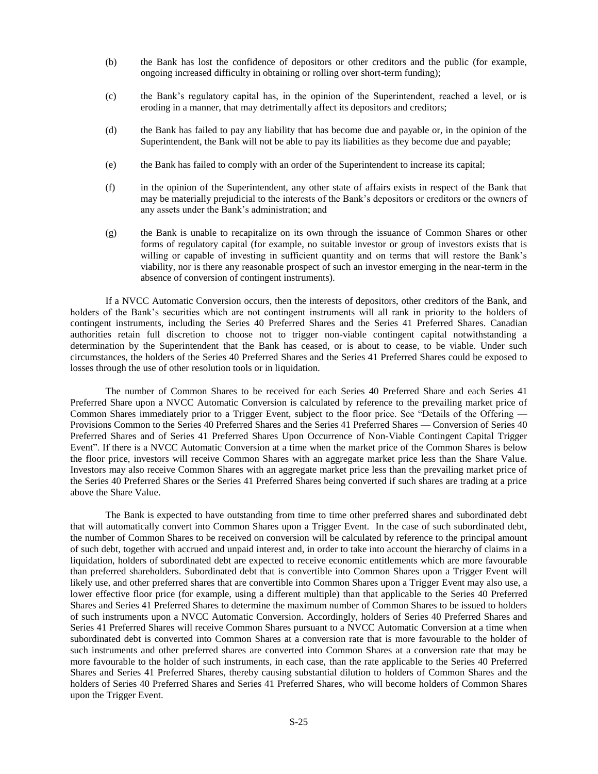- (b) the Bank has lost the confidence of depositors or other creditors and the public (for example, ongoing increased difficulty in obtaining or rolling over short-term funding);
- (c) the Bank's regulatory capital has, in the opinion of the Superintendent, reached a level, or is eroding in a manner, that may detrimentally affect its depositors and creditors;
- (d) the Bank has failed to pay any liability that has become due and payable or, in the opinion of the Superintendent, the Bank will not be able to pay its liabilities as they become due and payable;
- (e) the Bank has failed to comply with an order of the Superintendent to increase its capital;
- (f) in the opinion of the Superintendent, any other state of affairs exists in respect of the Bank that may be materially prejudicial to the interests of the Bank's depositors or creditors or the owners of any assets under the Bank's administration; and
- (g) the Bank is unable to recapitalize on its own through the issuance of Common Shares or other forms of regulatory capital (for example, no suitable investor or group of investors exists that is willing or capable of investing in sufficient quantity and on terms that will restore the Bank's viability, nor is there any reasonable prospect of such an investor emerging in the near-term in the absence of conversion of contingent instruments).

If a NVCC Automatic Conversion occurs, then the interests of depositors, other creditors of the Bank, and holders of the Bank's securities which are not contingent instruments will all rank in priority to the holders of contingent instruments, including the Series 40 Preferred Shares and the Series 41 Preferred Shares. Canadian authorities retain full discretion to choose not to trigger non-viable contingent capital notwithstanding a determination by the Superintendent that the Bank has ceased, or is about to cease, to be viable. Under such circumstances, the holders of the Series 40 Preferred Shares and the Series 41 Preferred Shares could be exposed to losses through the use of other resolution tools or in liquidation.

The number of Common Shares to be received for each Series 40 Preferred Share and each Series 41 Preferred Share upon a NVCC Automatic Conversion is calculated by reference to the prevailing market price of Common Shares immediately prior to a Trigger Event, subject to the floor price. See "Details of the Offering — Provisions Common to the Series 40 Preferred Shares and the Series 41 Preferred Shares — Conversion of Series 40 Preferred Shares and of Series 41 Preferred Shares Upon Occurrence of Non-Viable Contingent Capital Trigger Event". If there is a NVCC Automatic Conversion at a time when the market price of the Common Shares is below the floor price, investors will receive Common Shares with an aggregate market price less than the Share Value. Investors may also receive Common Shares with an aggregate market price less than the prevailing market price of the Series 40 Preferred Shares or the Series 41 Preferred Shares being converted if such shares are trading at a price above the Share Value.

The Bank is expected to have outstanding from time to time other preferred shares and subordinated debt that will automatically convert into Common Shares upon a Trigger Event. In the case of such subordinated debt, the number of Common Shares to be received on conversion will be calculated by reference to the principal amount of such debt, together with accrued and unpaid interest and, in order to take into account the hierarchy of claims in a liquidation, holders of subordinated debt are expected to receive economic entitlements which are more favourable than preferred shareholders. Subordinated debt that is convertible into Common Shares upon a Trigger Event will likely use, and other preferred shares that are convertible into Common Shares upon a Trigger Event may also use, a lower effective floor price (for example, using a different multiple) than that applicable to the Series 40 Preferred Shares and Series 41 Preferred Shares to determine the maximum number of Common Shares to be issued to holders of such instruments upon a NVCC Automatic Conversion. Accordingly, holders of Series 40 Preferred Shares and Series 41 Preferred Shares will receive Common Shares pursuant to a NVCC Automatic Conversion at a time when subordinated debt is converted into Common Shares at a conversion rate that is more favourable to the holder of such instruments and other preferred shares are converted into Common Shares at a conversion rate that may be more favourable to the holder of such instruments, in each case, than the rate applicable to the Series 40 Preferred Shares and Series 41 Preferred Shares, thereby causing substantial dilution to holders of Common Shares and the holders of Series 40 Preferred Shares and Series 41 Preferred Shares, who will become holders of Common Shares upon the Trigger Event.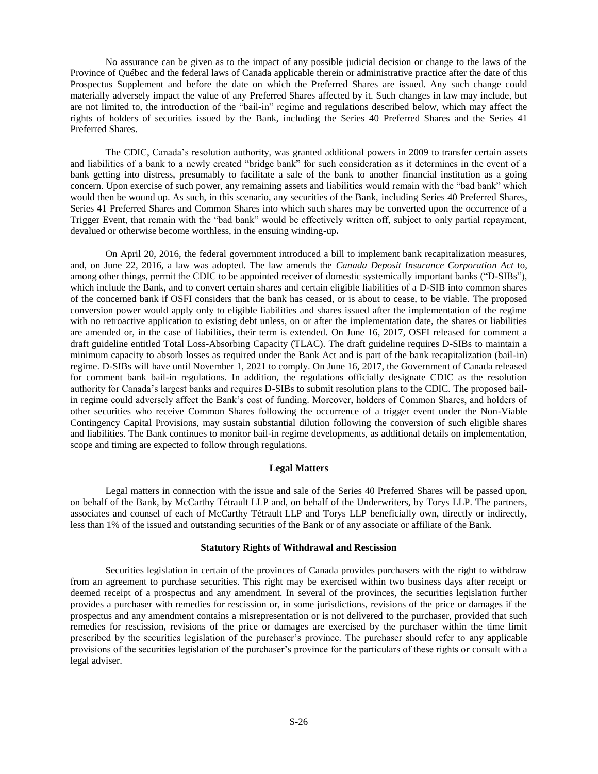No assurance can be given as to the impact of any possible judicial decision or change to the laws of the Province of Québec and the federal laws of Canada applicable therein or administrative practice after the date of this Prospectus Supplement and before the date on which the Preferred Shares are issued. Any such change could materially adversely impact the value of any Preferred Shares affected by it. Such changes in law may include, but are not limited to, the introduction of the "bail-in" regime and regulations described below, which may affect the rights of holders of securities issued by the Bank, including the Series 40 Preferred Shares and the Series 41 Preferred Shares.

The CDIC, Canada's resolution authority, was granted additional powers in 2009 to transfer certain assets and liabilities of a bank to a newly created "bridge bank" for such consideration as it determines in the event of a bank getting into distress, presumably to facilitate a sale of the bank to another financial institution as a going concern. Upon exercise of such power, any remaining assets and liabilities would remain with the "bad bank" which would then be wound up. As such, in this scenario, any securities of the Bank, including Series 40 Preferred Shares, Series 41 Preferred Shares and Common Shares into which such shares may be converted upon the occurrence of a Trigger Event, that remain with the "bad bank" would be effectively written off, subject to only partial repayment, devalued or otherwise become worthless, in the ensuing winding-up**.** 

On April 20, 2016, the federal government introduced a bill to implement bank recapitalization measures, and, on June 22, 2016, a law was adopted. The law amends the *Canada Deposit Insurance Corporation Act* to, among other things, permit the CDIC to be appointed receiver of domestic systemically important banks ("D-SIBs"), which include the Bank, and to convert certain shares and certain eligible liabilities of a D-SIB into common shares of the concerned bank if OSFI considers that the bank has ceased, or is about to cease, to be viable. The proposed conversion power would apply only to eligible liabilities and shares issued after the implementation of the regime with no retroactive application to existing debt unless, on or after the implementation date, the shares or liabilities are amended or, in the case of liabilities, their term is extended. On June 16, 2017, OSFI released for comment a draft guideline entitled Total Loss-Absorbing Capacity (TLAC). The draft guideline requires D-SIBs to maintain a minimum capacity to absorb losses as required under the Bank Act and is part of the bank recapitalization (bail-in) regime. D-SIBs will have until November 1, 2021 to comply. On June 16, 2017, the Government of Canada released for comment bank bail-in regulations. In addition, the regulations officially designate CDIC as the resolution authority for Canada's largest banks and requires D-SIBs to submit resolution plans to the CDIC. The proposed bailin regime could adversely affect the Bank's cost of funding. Moreover, holders of Common Shares, and holders of other securities who receive Common Shares following the occurrence of a trigger event under the Non-Viable Contingency Capital Provisions, may sustain substantial dilution following the conversion of such eligible shares and liabilities. The Bank continues to monitor bail-in regime developments, as additional details on implementation, scope and timing are expected to follow through regulations.

#### **Legal Matters**

<span id="page-25-0"></span>Legal matters in connection with the issue and sale of the Series 40 Preferred Shares will be passed upon, on behalf of the Bank, by McCarthy Tétrault LLP and, on behalf of the Underwriters, by Torys LLP. The partners, associates and counsel of each of McCarthy Tétrault LLP and Torys LLP beneficially own, directly or indirectly, less than 1% of the issued and outstanding securities of the Bank or of any associate or affiliate of the Bank.

### **Statutory Rights of Withdrawal and Rescission**

<span id="page-25-1"></span>Securities legislation in certain of the provinces of Canada provides purchasers with the right to withdraw from an agreement to purchase securities. This right may be exercised within two business days after receipt or deemed receipt of a prospectus and any amendment. In several of the provinces, the securities legislation further provides a purchaser with remedies for rescission or, in some jurisdictions, revisions of the price or damages if the prospectus and any amendment contains a misrepresentation or is not delivered to the purchaser, provided that such remedies for rescission, revisions of the price or damages are exercised by the purchaser within the time limit prescribed by the securities legislation of the purchaser's province. The purchaser should refer to any applicable provisions of the securities legislation of the purchaser's province for the particulars of these rights or consult with a legal adviser.